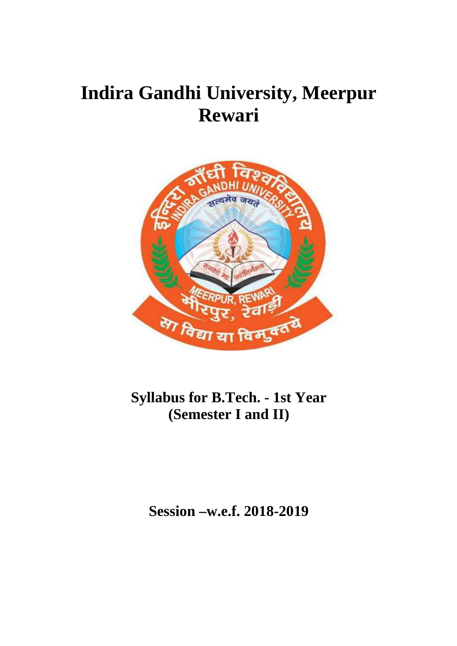# **Indira Gandhi University, Meerpur Rewari**



# **Syllabus for B.Tech. - 1st Year (Semester I and II)**

**Session –w.e.f. 2018-2019**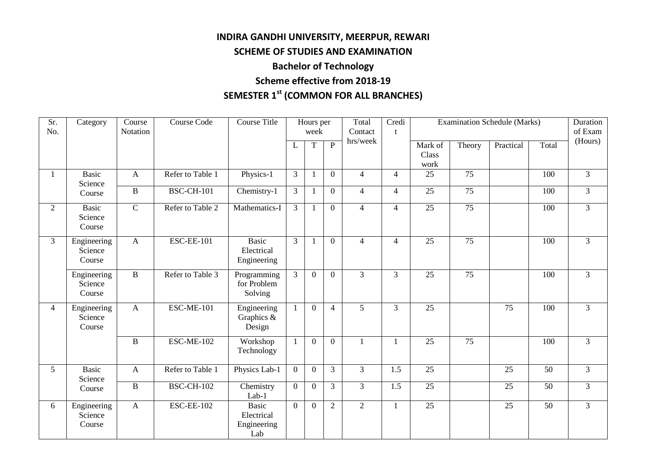# **INDIRA GANDHI UNIVERSITY, MEERPUR, REWARI**

# **SCHEME OF STUDIES AND EXAMINATION**

# **Bachelor of Technology**

# **Scheme effective from 2018-19**

# **SEMESTER 1st (COMMON FOR ALL BRANCHES)**

| Sr.<br>No.      | Category                         | Course<br>Notation | <b>Course Code</b> | <b>Course Title</b>                              |                | Hours per<br>week |                | Total<br>Contact | Credi<br>t       |                          |                 | <b>Examination Schedule (Marks)</b> |                 | Duration<br>of Exam |
|-----------------|----------------------------------|--------------------|--------------------|--------------------------------------------------|----------------|-------------------|----------------|------------------|------------------|--------------------------|-----------------|-------------------------------------|-----------------|---------------------|
|                 |                                  |                    |                    |                                                  | L              | $\mathbf T$       | $\overline{P}$ | hrs/week         |                  | Mark of<br>Class<br>work | Theory          | Practical                           | Total           | (Hours)             |
| $\mathbf{1}$    | Basic<br>Science                 | $\overline{A}$     | Refer to Table 1   | Physics-1                                        | $\overline{3}$ | $\mathbf{1}$      | $\overline{0}$ | $\overline{4}$   | $\overline{4}$   | 25                       | 75              |                                     | 100             | $\overline{3}$      |
|                 | Course                           | $\, {\bf B}$       | <b>BSC-CH-101</b>  | Chemistry-1                                      | $\overline{3}$ | 1                 | $\overline{0}$ | $\overline{4}$   | $\overline{4}$   | $\overline{25}$          | $\overline{75}$ |                                     | 100             | $\overline{3}$      |
| 2               | Basic<br>Science<br>Course       | $\overline{C}$     | Refer to Table 2   | Mathematics-I                                    | $\overline{3}$ |                   | $\overline{0}$ | $\overline{4}$   | $\overline{4}$   | 25                       | $\overline{75}$ |                                     | 100             | $\overline{3}$      |
| $\overline{3}$  | Engineering<br>Science<br>Course | $\mathbf{A}$       | <b>ESC-EE-101</b>  | <b>Basic</b><br>Electrical<br>Engineering        | 3              |                   | $\Omega$       | $\overline{4}$   | $\overline{4}$   | $\overline{25}$          | $\overline{75}$ |                                     | 100             | $\overline{3}$      |
|                 | Engineering<br>Science<br>Course | $\mathbf{B}$       | Refer to Table 3   | Programming<br>for Problem<br>Solving            | 3              | $\theta$          | $\Omega$       | $\overline{3}$   | $\overline{3}$   | $\overline{25}$          | $\overline{75}$ |                                     | 100             | $\overline{3}$      |
| $\overline{4}$  | Engineering<br>Science<br>Course | $\overline{A}$     | <b>ESC-ME-101</b>  | Engineering<br>Graphics &<br>Design              | $\mathbf{1}$   | $\overline{0}$    | $\overline{4}$ | 5                | $\overline{3}$   | 25                       |                 | 75                                  | 100             | $\overline{3}$      |
|                 |                                  | $\, {\bf B}$       | <b>ESC-ME-102</b>  | Workshop<br>Technology                           |                | $\overline{0}$    | $\mathbf{0}$   | 1                |                  | 25                       | 75              |                                     | 100             | $\overline{3}$      |
| $5\overline{)}$ | <b>Basic</b><br>Science          | $\mathbf{A}$       | Refer to Table 1   | Physics Lab-1                                    | $\overline{0}$ | $\overline{0}$    | 3              | $\overline{3}$   | 1.5              | $\overline{25}$          |                 | 25                                  | $\overline{50}$ | $\overline{3}$      |
|                 | Course                           | $\overline{B}$     | <b>BSC-CH-102</b>  | Chemistry<br>Lab-1                               | $\overline{0}$ | $\overline{0}$    | $\overline{3}$ | $\overline{3}$   | $\overline{1.5}$ | $\overline{25}$          |                 | $\overline{25}$                     | 50              | $\overline{3}$      |
| 6               | Engineering<br>Science<br>Course | $\mathbf{A}$       | <b>ESC-EE-102</b>  | <b>Basic</b><br>Electrical<br>Engineering<br>Lab | $\overline{0}$ | $\overline{0}$    | $\overline{2}$ | $\overline{2}$   |                  | $\overline{25}$          |                 | $\overline{25}$                     | $\overline{50}$ | $\overline{3}$      |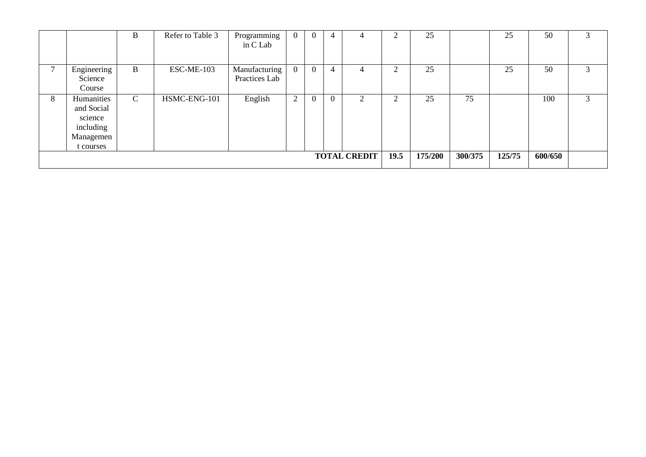|   |                                                                            | B            | Refer to Table 3 | Programming<br>in C Lab        | $\mathbf{0}$ |          | 4        | 4                   |        | 25      |         | 25     | 50      | 3 |
|---|----------------------------------------------------------------------------|--------------|------------------|--------------------------------|--------------|----------|----------|---------------------|--------|---------|---------|--------|---------|---|
|   | Engineering<br>Science<br>Course                                           | B            | ESC-ME-103       | Manufacturing<br>Practices Lab | $\mathbf{0}$ | $\theta$ | 4        |                     | ⌒      | 25      |         | 25     | 50      | 3 |
| 8 | Humanities<br>and Social<br>science<br>including<br>Managemen<br>t courses | $\mathsf{C}$ | HSMC-ENG-101     | English                        | 2            | $\theta$ | $\theta$ | $\bigcap$<br>Ζ      | $\sim$ | 25      | 75      |        | 100     | 3 |
|   |                                                                            |              |                  |                                |              |          |          | <b>TOTAL CREDIT</b> | 19.5   | 175/200 | 300/375 | 125/75 | 600/650 |   |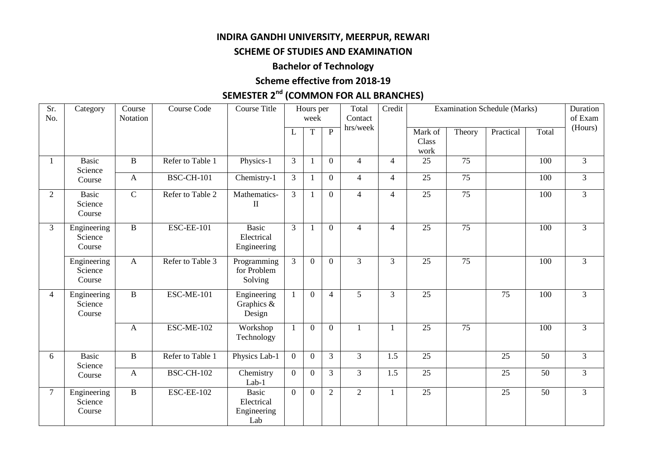# **INDIRA GANDHI UNIVERSITY, MEERPUR, REWARI**

# **SCHEME OF STUDIES AND EXAMINATION**

# **Bachelor of Technology**

# **Scheme effective from 2018-19**

# **SEMESTER 2nd (COMMON FOR ALL BRANCHES)**

| Sr.<br>No.     | Category                          | Course<br>Notation | Course Code       | <b>Course Title</b>                              |                | Hours per<br>week |                | Total<br>Contact | Credit           |                          |                 | <b>Examination Schedule (Marks)</b> |                 | Duration<br>of Exam |
|----------------|-----------------------------------|--------------------|-------------------|--------------------------------------------------|----------------|-------------------|----------------|------------------|------------------|--------------------------|-----------------|-------------------------------------|-----------------|---------------------|
|                |                                   |                    |                   |                                                  | L              | T                 | $\overline{P}$ | hrs/week         |                  | Mark of<br>Class<br>work | Theory          | Practical                           | Total           | (Hours)             |
| 1              | <b>Basic</b><br>Science           | B                  | Refer to Table 1  | Physics-1                                        | $\mathfrak{Z}$ | $\mathbf{1}$      | $\overline{0}$ | $\overline{4}$   | $\overline{4}$   | 25                       | $\overline{75}$ |                                     | 100             | $\overline{3}$      |
|                | Course                            | $\mathbf{A}$       | <b>BSC-CH-101</b> | Chemistry-1                                      | $\overline{3}$ | -1                | $\mathbf{0}$   | $\overline{4}$   | $\overline{4}$   | $\overline{25}$          | $\overline{75}$ |                                     | 100             | $\overline{3}$      |
| $\overline{2}$ | <b>Basic</b><br>Science<br>Course | $\overline{C}$     | Refer to Table 2  | Mathematics-<br>$\mathbf{I}$                     | $\overline{3}$ | $\mathbf{1}$      | $\overline{0}$ | $\overline{4}$   | $\overline{4}$   | 25                       | $\overline{75}$ |                                     | 100             | $\overline{3}$      |
| 3              | Engineering<br>Science<br>Course  | $\, {\bf B}$       | <b>ESC-EE-101</b> | <b>Basic</b><br>Electrical<br>Engineering        | $\overline{3}$ | $\mathbf{1}$      | $\overline{0}$ | $\overline{4}$   | $\overline{4}$   | $\overline{25}$          | 75              |                                     | 100             | $\overline{3}$      |
|                | Engineering<br>Science<br>Course  | $\mathbf{A}$       | Refer to Table 3  | Programming<br>for Problem<br>Solving            | 3              | $\mathbf{0}$      | $\overline{0}$ | $\overline{3}$   | $\overline{3}$   | 25                       | $\overline{75}$ |                                     | 100             | $\overline{3}$      |
| $\overline{4}$ | Engineering<br>Science<br>Course  | $\bf{B}$           | <b>ESC-ME-101</b> | Engineering<br>Graphics $\&$<br>Design           |                | $\mathbf{0}$      | $\overline{4}$ | $\overline{5}$   | $\overline{3}$   | $\overline{25}$          |                 | $\overline{75}$                     | 100             | $\overline{3}$      |
|                |                                   | $\mathbf{A}$       | <b>ESC-ME-102</b> | Workshop<br>Technology                           |                | $\mathbf{0}$      | $\overline{0}$ | $\mathbf{1}$     | $\mathbf{1}$     | 25                       | 75              |                                     | 100             | 3                   |
| 6              | <b>Basic</b><br>Science           | $\bf{B}$           | Refer to Table 1  | Physics Lab-1                                    | $\overline{0}$ | $\overline{0}$    | $\overline{3}$ | $\overline{3}$   | $\overline{1.5}$ | $\overline{25}$          |                 | 25                                  | $\overline{50}$ | $\overline{3}$      |
|                | Course                            | $\mathbf{A}$       | <b>BSC-CH-102</b> | Chemistry<br>$Lab-1$                             | $\overline{0}$ | $\overline{0}$    | $\overline{3}$ | $\overline{3}$   | 1.5              | 25                       |                 | 25                                  | 50              | $\overline{3}$      |
| $\tau$         | Engineering<br>Science<br>Course  | $\bf{B}$           | <b>ESC-EE-102</b> | <b>Basic</b><br>Electrical<br>Engineering<br>Lab | $\overline{0}$ | $\mathbf{0}$      | $\overline{2}$ | $\overline{2}$   | $\mathbf{1}$     | $\overline{25}$          |                 | $\overline{25}$                     | 50              | $\overline{3}$      |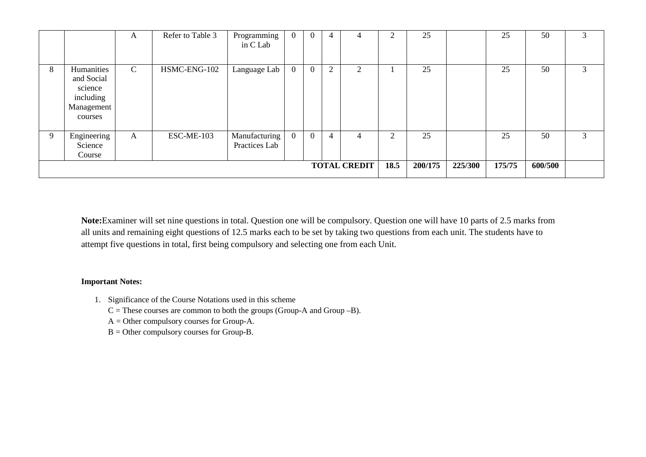|    |                                                                           | A             | Refer to Table 3 | Programming<br>in C Lab        | $\boldsymbol{0}$ | $\mathbf{0}$   | 4 | 4                   | ◠        | 25      |         | 25     | 50      | $\sim$<br>J.  |
|----|---------------------------------------------------------------------------|---------------|------------------|--------------------------------|------------------|----------------|---|---------------------|----------|---------|---------|--------|---------|---------------|
| 8  | Humanities<br>and Social<br>science<br>including<br>Management<br>courses | $\mathcal{C}$ | HSMC-ENG-102     | Language Lab                   | $\mathbf{0}$     | $\overline{0}$ | ◠ | 2                   |          | 25      |         | 25     | 50      | $\mathcal{F}$ |
| -9 | Engineering<br>Science<br>Course                                          | A             | ESC-ME-103       | Manufacturing<br>Practices Lab | $\overline{0}$   | $\overline{0}$ | 4 | 4                   | $\gamma$ | 25      |         | 25     | 50      | 3             |
|    |                                                                           |               |                  |                                |                  |                |   | <b>TOTAL CREDIT</b> | 18.5     | 200/175 | 225/300 | 175/75 | 600/500 |               |

**Note:**Examiner will set nine questions in total. Question one will be compulsory. Question one will have 10 parts of 2.5 marks from all units and remaining eight questions of 12.5 marks each to be set by taking two questions from each unit. The students have to attempt five questions in total, first being compulsory and selecting one from each Unit.

# **Important Notes:**

- 1. Significance of the Course Notations used in this scheme
	- $C =$  These courses are common to both the groups (Group-A and Group –B).
	- A = Other compulsory courses for Group-A.
	- B = Other compulsory courses for Group-B.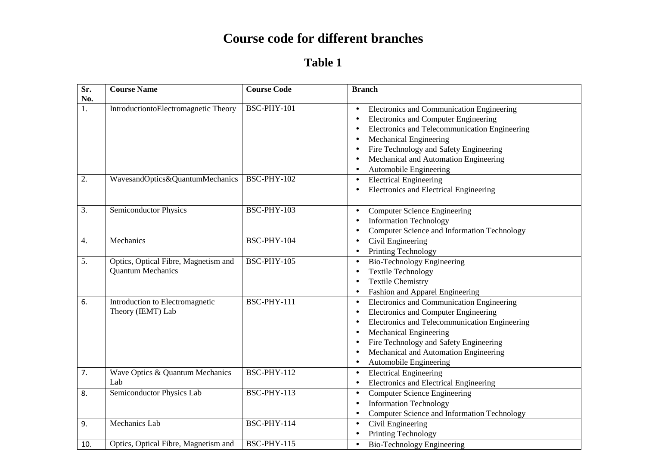# **Course code for different branches**

# **Table 1**

| Sr.              | <b>Course Name</b>                                               | <b>Course Code</b> | <b>Branch</b>                                                                                                                                                                                                                                                                                                                                                               |
|------------------|------------------------------------------------------------------|--------------------|-----------------------------------------------------------------------------------------------------------------------------------------------------------------------------------------------------------------------------------------------------------------------------------------------------------------------------------------------------------------------------|
| No.<br>1.        | IntroductiontoElectromagnetic Theory                             | BSC-PHY-101        | Electronics and Communication Engineering<br>$\bullet$<br>Electronics and Computer Engineering<br>$\bullet$<br>Electronics and Telecommunication Engineering<br>$\bullet$<br><b>Mechanical Engineering</b><br>$\bullet$<br>Fire Technology and Safety Engineering<br>$\bullet$<br>Mechanical and Automation Engineering<br>$\bullet$<br>Automobile Engineering<br>$\bullet$ |
| $\overline{2}$ . | WavesandOptics&QuantumMechanics                                  | <b>BSC-PHY-102</b> | <b>Electrical Engineering</b><br>$\bullet$<br><b>Electronics and Electrical Engineering</b><br>$\bullet$                                                                                                                                                                                                                                                                    |
| 3.               | <b>Semiconductor Physics</b>                                     | BSC-PHY-103        | <b>Computer Science Engineering</b><br>$\bullet$<br><b>Information Technology</b><br><b>Computer Science and Information Technology</b><br>$\bullet$                                                                                                                                                                                                                        |
| 4.               | Mechanics                                                        | BSC-PHY-104        | Civil Engineering<br>$\bullet$<br>Printing Technology<br>$\bullet$                                                                                                                                                                                                                                                                                                          |
| 5.               | Optics, Optical Fibre, Magnetism and<br><b>Quantum Mechanics</b> | BSC-PHY-105        | <b>Bio-Technology Engineering</b><br>$\bullet$<br><b>Textile Technology</b><br>$\bullet$<br><b>Textile Chemistry</b><br>$\bullet$<br>Fashion and Apparel Engineering<br>$\bullet$                                                                                                                                                                                           |
| 6.               | Introduction to Electromagnetic<br>Theory (IEMT) Lab             | BSC-PHY-111        | Electronics and Communication Engineering<br>$\bullet$<br>Electronics and Computer Engineering<br>$\bullet$<br>Electronics and Telecommunication Engineering<br>$\bullet$<br>Mechanical Engineering<br>$\bullet$<br>Fire Technology and Safety Engineering<br>$\bullet$<br>Mechanical and Automation Engineering<br>$\bullet$<br>Automobile Engineering<br>$\bullet$        |
| 7.               | Wave Optics & Quantum Mechanics<br>Lab                           | BSC-PHY-112        | <b>Electrical Engineering</b><br>$\bullet$<br>Electronics and Electrical Engineering<br>$\bullet$                                                                                                                                                                                                                                                                           |
| 8.               | <b>Semiconductor Physics Lab</b>                                 | BSC-PHY-113        | <b>Computer Science Engineering</b><br>$\bullet$<br><b>Information Technology</b><br>$\bullet$<br>Computer Science and Information Technology<br>$\bullet$                                                                                                                                                                                                                  |
| 9.               | <b>Mechanics</b> Lab                                             | BSC-PHY-114        | Civil Engineering<br>$\bullet$<br>Printing Technology<br>$\bullet$                                                                                                                                                                                                                                                                                                          |
| 10.              | Optics, Optical Fibre, Magnetism and                             | BSC-PHY-115        | <b>Bio-Technology Engineering</b><br>$\bullet$                                                                                                                                                                                                                                                                                                                              |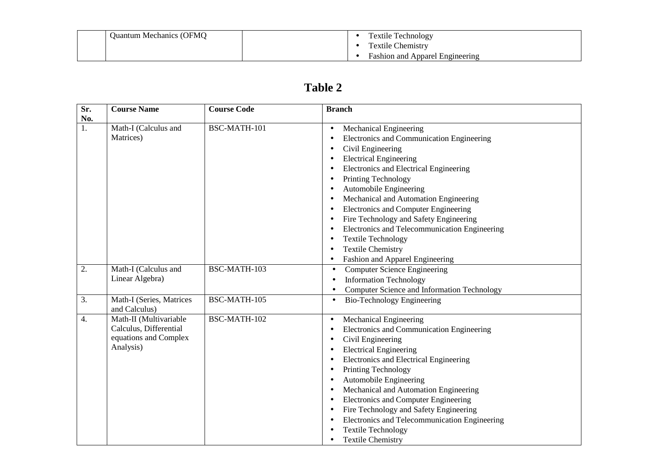| <b>Quantum Mechanics (OFMQ)</b> | <b>Textile Technology</b>              |
|---------------------------------|----------------------------------------|
|                                 | <b>Textile Chemistry</b>               |
|                                 | <b>Fashion and Apparel Engineering</b> |

# **Table 2**

| $\overline{\text{Sr.}}$ | <b>Course Name</b>                                                                     | <b>Course Code</b> | <b>Branch</b>                                                                                                                                                                                                                                                                                                                                                                                                                                                                                                                                                                                             |
|-------------------------|----------------------------------------------------------------------------------------|--------------------|-----------------------------------------------------------------------------------------------------------------------------------------------------------------------------------------------------------------------------------------------------------------------------------------------------------------------------------------------------------------------------------------------------------------------------------------------------------------------------------------------------------------------------------------------------------------------------------------------------------|
| No.<br>1.               | Math-I (Calculus and<br>Matrices)                                                      | BSC-MATH-101       | <b>Mechanical Engineering</b><br>$\bullet$<br>Electronics and Communication Engineering<br>$\bullet$<br>Civil Engineering<br>$\bullet$<br><b>Electrical Engineering</b><br>$\bullet$<br>Electronics and Electrical Engineering<br>$\bullet$<br>Printing Technology<br>$\bullet$<br>Automobile Engineering<br>$\bullet$<br>Mechanical and Automation Engineering<br><b>Electronics and Computer Engineering</b><br>Fire Technology and Safety Engineering<br>$\bullet$<br>Electronics and Telecommunication Engineering<br>$\bullet$<br><b>Textile Technology</b><br>$\bullet$<br><b>Textile Chemistry</b> |
| 2.                      | Math-I (Calculus and<br>Linear Algebra)                                                | BSC-MATH-103       | Fashion and Apparel Engineering<br>$\bullet$<br><b>Computer Science Engineering</b><br><b>Information Technology</b><br>Computer Science and Information Technology                                                                                                                                                                                                                                                                                                                                                                                                                                       |
| $\overline{3}$ .        | Math-I (Series, Matrices<br>and Calculus)                                              | BSC-MATH-105       | <b>Bio-Technology Engineering</b>                                                                                                                                                                                                                                                                                                                                                                                                                                                                                                                                                                         |
| 4.                      | Math-II (Multivariable<br>Calculus, Differential<br>equations and Complex<br>Analysis) | BSC-MATH-102       | Mechanical Engineering<br>$\bullet$<br>Electronics and Communication Engineering<br>$\bullet$<br>Civil Engineering<br>$\bullet$<br><b>Electrical Engineering</b><br>$\bullet$<br>Electronics and Electrical Engineering<br>$\bullet$<br>Printing Technology<br>$\bullet$<br>Automobile Engineering<br>$\bullet$<br>Mechanical and Automation Engineering<br>$\bullet$<br><b>Electronics and Computer Engineering</b><br>$\bullet$<br>Fire Technology and Safety Engineering<br>$\bullet$<br>Electronics and Telecommunication Engineering<br><b>Textile Technology</b><br><b>Textile Chemistry</b>        |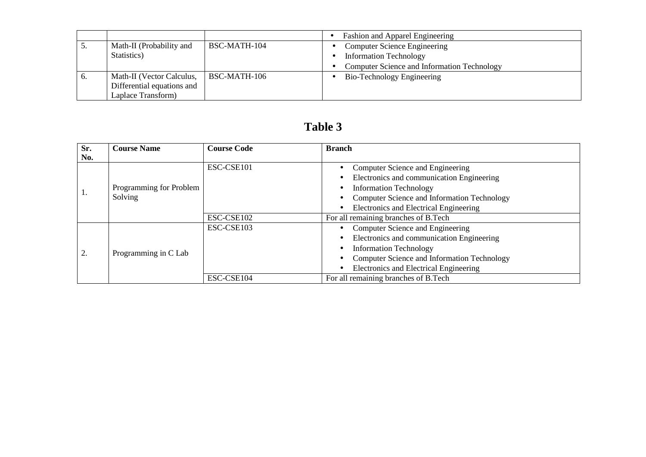|            |                            |              | <b>Fashion and Apparel Engineering</b>      |
|------------|----------------------------|--------------|---------------------------------------------|
| J.         | Math-II (Probability and   | BSC-MATH-104 | <b>Computer Science Engineering</b>         |
|            | Statistics)                |              | <b>Information Technology</b>               |
|            |                            |              | Computer Science and Information Technology |
| $\sigma$ . | Math-II (Vector Calculus,  | BSC-MATH-106 | Bio-Technology Engineering                  |
|            | Differential equations and |              |                                             |
|            | Laplace Transform)         |              |                                             |

| Sr.<br>No. | <b>Course Name</b>                 | <b>Course Code</b> | <b>Branch</b>                                                                                                                                                                                           |
|------------|------------------------------------|--------------------|---------------------------------------------------------------------------------------------------------------------------------------------------------------------------------------------------------|
| Ι.         | Programming for Problem<br>Solving | ESC-CSE101         | Computer Science and Engineering<br>Electronics and communication Engineering<br><b>Information Technology</b><br>Computer Science and Information Technology<br>Electronics and Electrical Engineering |
|            |                                    | ESC-CSE102         | For all remaining branches of B.Tech                                                                                                                                                                    |
| 2.         | Programming in C Lab               | ESC-CSE103         | Computer Science and Engineering<br>Electronics and communication Engineering<br><b>Information Technology</b><br>Computer Science and Information Technology<br>Electronics and Electrical Engineering |
|            |                                    | ESC-CSE104         | For all remaining branches of B.Tech                                                                                                                                                                    |

# **Table 3**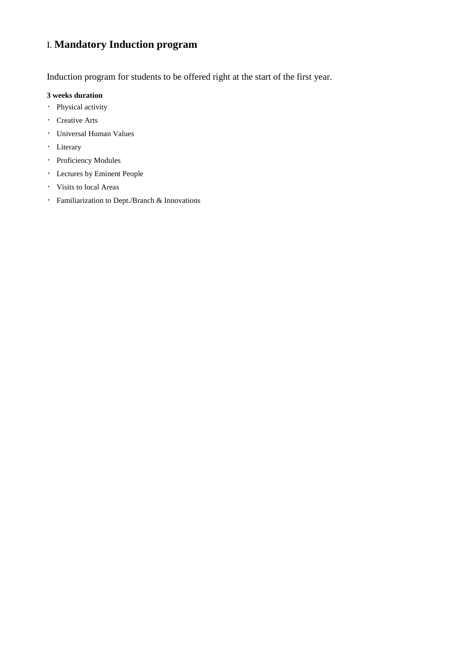# I. **Mandatory Induction program**

Induction program for students to be offered right at the start of the first year.

#### **3 weeks duration**

- Physical activity
- Creative Arts
- Universal Human Values
- Literary
- Proficiency Modules
- Lectures by Eminent People
- Visits to local Areas
- Familiarization to Dept./Branch & Innovations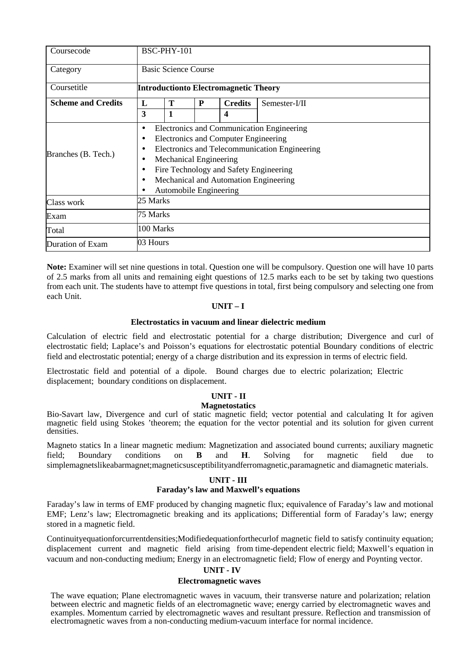| Coursecode                              | BSC-PHY-101                                                                                                                                                                                                                                                                                      |           |  |                |               |  |  |  |  |  |
|-----------------------------------------|--------------------------------------------------------------------------------------------------------------------------------------------------------------------------------------------------------------------------------------------------------------------------------------------------|-----------|--|----------------|---------------|--|--|--|--|--|
| <b>Basic Science Course</b><br>Category |                                                                                                                                                                                                                                                                                                  |           |  |                |               |  |  |  |  |  |
| Coursetitle                             | <b>Introductionto Electromagnetic Theory</b>                                                                                                                                                                                                                                                     |           |  |                |               |  |  |  |  |  |
| <b>Scheme and Credits</b>               | Т<br>P<br>L                                                                                                                                                                                                                                                                                      |           |  | <b>Credits</b> | Semester-I/II |  |  |  |  |  |
| 3<br>1                                  |                                                                                                                                                                                                                                                                                                  |           |  |                |               |  |  |  |  |  |
| Branches (B. Tech.)                     | Electronics and Communication Engineering<br>$\bullet$<br>Electronics and Computer Engineering<br>٠<br>Electronics and Telecommunication Engineering<br>٠<br>Mechanical Engineering<br>Fire Technology and Safety Engineering<br>Mechanical and Automation Engineering<br>Automobile Engineering |           |  |                |               |  |  |  |  |  |
| Class work                              | 25 Marks                                                                                                                                                                                                                                                                                         |           |  |                |               |  |  |  |  |  |
| Exam                                    | 75 Marks                                                                                                                                                                                                                                                                                         |           |  |                |               |  |  |  |  |  |
| Total                                   |                                                                                                                                                                                                                                                                                                  | 100 Marks |  |                |               |  |  |  |  |  |
| Duration of Exam                        | 03 Hours                                                                                                                                                                                                                                                                                         |           |  |                |               |  |  |  |  |  |

**Note:** Examiner will set nine questions in total. Question one will be compulsory. Question one will have 10 parts of 2.5 marks from all units and remaining eight questions of 12.5 marks each to be set by taking two questions from each unit. The students have to attempt five questions in total, first being compulsory and selecting one from each Unit.

#### **UNIT – I**

#### **Electrostatics in vacuum and linear dielectric medium**

Calculation of electric field and electrostatic potential for a charge distribution; Divergence and curl of electrostatic field; Laplace's and Poisson's equations for electrostatic potential Boundary conditions of electric field and electrostatic potential; energy of a charge distribution and its expression in terms of electric field.

Electrostatic field and potential of a dipole. Bound charges due to electric polarization; Electric displacement; boundary conditions on displacement.

#### **UNIT - II**

#### **Magnetostatics**

Bio-Savart law, Divergence and curl of static magnetic field; vector potential and calculating It for agiven magnetic field using Stokes 'theorem; the equation for the vector potential and its solution for given current densities.

Magneto statics In a linear magnetic medium: Magnetization and associated bound currents; auxiliary magnetic field; Boundary conditions on **B** and **H**. Solving for magnetic field due to simplemagnetslikeabarmagnet;magneticsusceptibilityandferromagnetic,paramagnetic and diamagnetic materials.

#### **UNIT - III**

#### **Faraday's law and Maxwell's equations**

Faraday's law in terms of EMF produced by changing magnetic flux; equivalence of Faraday's law and motional EMF; Lenz's law; Electromagnetic breaking and its applications; Differential form of Faraday's law; energy stored in a magnetic field.

Continuityequationforcurrentdensities;Modifiedequationforthecurlof magnetic field to satisfy continuity equation; displacement current and magnetic field arising from time-dependent electric field; Maxwell's equation in vacuum and non-conducting medium; Energy in an electromagnetic field; Flow of energy and Poynting vector.

#### **UNIT - IV**

#### **Electromagnetic waves**

The wave equation; Plane electromagnetic waves in vacuum, their transverse nature and polarization; relation between electric and magnetic fields of an electromagnetic wave; energy carried by electromagnetic waves and examples. Momentum carried by electromagnetic waves and resultant pressure. Reflection and transmission of electromagnetic waves from a non-conducting medium-vacuum interface for normal incidence.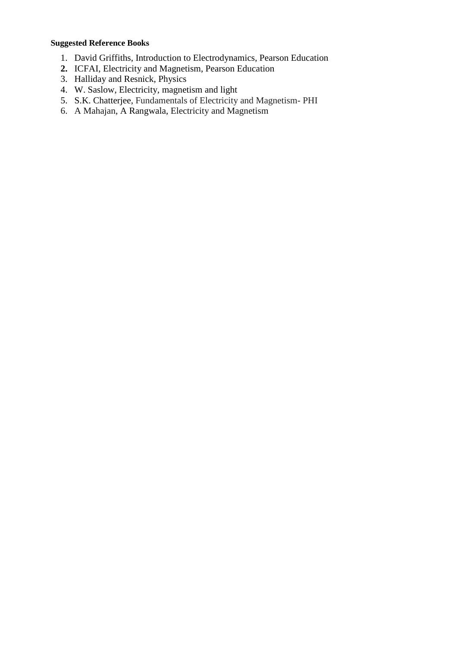# **Suggested Reference Books**

- 1. David Griffiths, Introduction to Electrodynamics, Pearson Education
- **2.** ICFAI, Electricity and Magnetism, Pearson Education
- 3. Halliday and Resnick, Physics
- 4. W. Saslow, Electricity, magnetism and light
- 5. S.K. Chatterjee, Fundamentals of Electricity and Magnetism- PHI
- 6. A Mahajan, A Rangwala, Electricity and Magnetism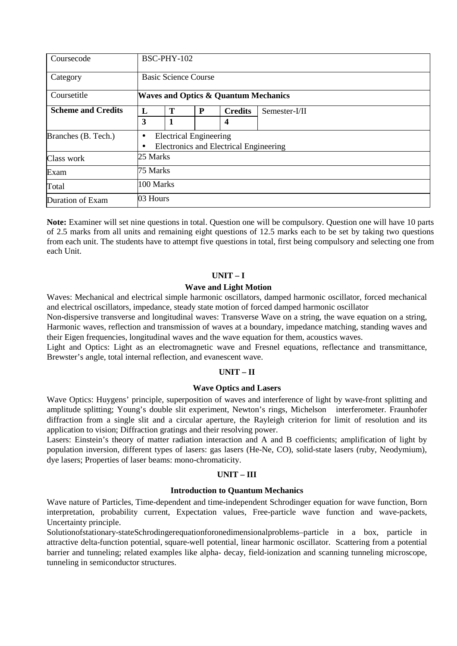| Coursecode                |              | BSC-PHY-102                                     |                               |                                        |  |  |  |  |  |  |  |
|---------------------------|--------------|-------------------------------------------------|-------------------------------|----------------------------------------|--|--|--|--|--|--|--|
| Category                  |              | <b>Basic Science Course</b>                     |                               |                                        |  |  |  |  |  |  |  |
| Coursetitle               |              | <b>Waves and Optics &amp; Quantum Mechanics</b> |                               |                                        |  |  |  |  |  |  |  |
| <b>Scheme and Credits</b> | $\mathbf{L}$ | Т<br>P<br>Semester-I/II<br><b>Credits</b>       |                               |                                        |  |  |  |  |  |  |  |
|                           | 3            | 1                                               |                               | 4                                      |  |  |  |  |  |  |  |
| Branches (B. Tech.)       | ٠            |                                                 | <b>Electrical Engineering</b> | Electronics and Electrical Engineering |  |  |  |  |  |  |  |
| Class work                | 25 Marks     |                                                 |                               |                                        |  |  |  |  |  |  |  |
| Exam                      |              | 75 Marks                                        |                               |                                        |  |  |  |  |  |  |  |
| Total                     |              | 100 Marks                                       |                               |                                        |  |  |  |  |  |  |  |
| Duration of Exam          | 03 Hours     |                                                 |                               |                                        |  |  |  |  |  |  |  |

**Note:** Examiner will set nine questions in total. Question one will be compulsory. Question one will have 10 parts of 2.5 marks from all units and remaining eight questions of 12.5 marks each to be set by taking two questions from each unit. The students have to attempt five questions in total, first being compulsory and selecting one from each Unit.

#### **UNIT – I**

#### **Wave and Light Motion**

Waves: Mechanical and electrical simple harmonic oscillators, damped harmonic oscillator, forced mechanical and electrical oscillators, impedance, steady state motion of forced damped harmonic oscillator

Non-dispersive transverse and longitudinal waves: Transverse Wave on a string, the wave equation on a string, Harmonic waves, reflection and transmission of waves at a boundary, impedance matching, standing waves and their Eigen frequencies, longitudinal waves and the wave equation for them, acoustics waves.

Light and Optics: Light as an electromagnetic wave and Fresnel equations, reflectance and transmittance, Brewster's angle, total internal reflection, and evanescent wave.

#### **UNIT – II**

#### **Wave Optics and Lasers**

Wave Optics: Huygens' principle, superposition of waves and interference of light by wave-front splitting and amplitude splitting; Young's double slit experiment, Newton's rings, Michelson interferometer. Fraunhofer diffraction from a single slit and a circular aperture, the Rayleigh criterion for limit of resolution and its application to vision; Diffraction gratings and their resolving power.

Lasers: Einstein's theory of matter radiation interaction and A and B coefficients; amplification of light by population inversion, different types of lasers: gas lasers (He-Ne, CO), solid-state lasers (ruby, Neodymium), dye lasers; Properties of laser beams: mono-chromaticity.

#### **UNIT – III**

#### **Introduction to Quantum Mechanics**

Wave nature of Particles, Time-dependent and time-independent Schrodinger equation for wave function, Born interpretation, probability current, Expectation values, Free-particle wave function and wave-packets, Uncertainty principle.

Solutionofstationary-stateSchrodingerequationforonedimensionalproblems–particle in a box, particle in attractive delta-function potential, square-well potential, linear harmonic oscillator. Scattering from a potential barrier and tunneling; related examples like alpha- decay, field-ionization and scanning tunneling microscope, tunneling in semiconductor structures.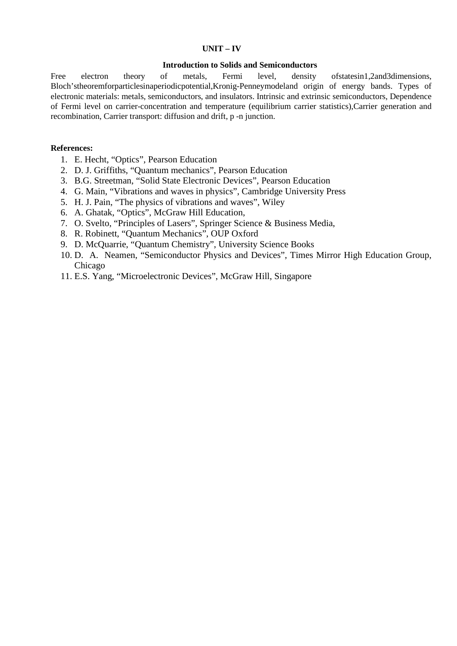#### **UNIT – IV**

#### **Introduction to Solids and Semiconductors**

Free electron theory of metals, Fermi level, density of statesin1,2and3dimensions, Bloch'stheoremforparticlesinaperiodicpotential,Kronig-Penneymodeland origin of energy bands. Types of electronic materials: metals, semiconductors, and insulators. Intrinsic and extrinsic semiconductors, Dependence of Fermi level on carrier-concentration and temperature (equilibrium carrier statistics),Carrier generation and recombination, Carrier transport: diffusion and drift, p -n junction.

#### **References:**

- 1. E. Hecht, "Optics", Pearson Education
- 2. D. J. Griffiths, "Quantum mechanics", Pearson Education
- 3. B.G. Streetman, "Solid State Electronic Devices", Pearson Education
- 4. G. Main, "Vibrations and waves in physics", Cambridge University Press
- 5. H. J. Pain, "The physics of vibrations and waves", Wiley
- 6. A. Ghatak, "Optics", McGraw Hill Education,
- 7. O. Svelto, "Principles of Lasers", Springer Science & Business Media,
- 8. R. Robinett, "Quantum Mechanics", OUP Oxford
- 9. D. McQuarrie, "Quantum Chemistry", University Science Books
- 10. D. A. Neamen, "Semiconductor Physics and Devices", Times Mirror High Education Group, Chicago
- 11. E.S. Yang, "Microelectronic Devices", McGraw Hill, Singapore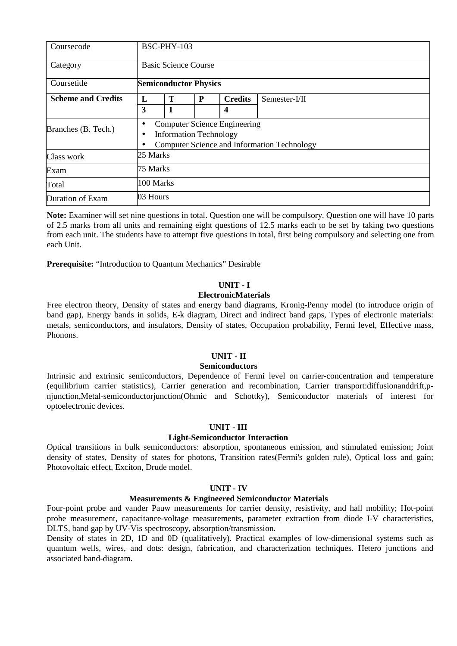| Coursecode                |          | BSC-PHY-103                  |                               |                                     |                                             |  |  |  |  |  |  |
|---------------------------|----------|------------------------------|-------------------------------|-------------------------------------|---------------------------------------------|--|--|--|--|--|--|
| Category                  |          | <b>Basic Science Course</b>  |                               |                                     |                                             |  |  |  |  |  |  |
| Coursetitle               |          | <b>Semiconductor Physics</b> |                               |                                     |                                             |  |  |  |  |  |  |
| <b>Scheme and Credits</b> | L        | T                            | P                             | <b>Credits</b>                      | Semester-I/II                               |  |  |  |  |  |  |
| 3<br>1<br>4               |          |                              |                               |                                     |                                             |  |  |  |  |  |  |
| Branches (B. Tech.)       | ٠        |                              | <b>Information Technology</b> | <b>Computer Science Engineering</b> | Computer Science and Information Technology |  |  |  |  |  |  |
| Class work                | 25 Marks |                              |                               |                                     |                                             |  |  |  |  |  |  |
| Exam                      |          | 75 Marks                     |                               |                                     |                                             |  |  |  |  |  |  |
| Total                     |          | 100 Marks                    |                               |                                     |                                             |  |  |  |  |  |  |
| Duration of Exam          | 03 Hours |                              |                               |                                     |                                             |  |  |  |  |  |  |

**Note:** Examiner will set nine questions in total. Question one will be compulsory. Question one will have 10 parts of 2.5 marks from all units and remaining eight questions of 12.5 marks each to be set by taking two questions from each unit. The students have to attempt five questions in total, first being compulsory and selecting one from each Unit.

**Prerequisite:** "Introduction to Quantum Mechanics" Desirable

#### **UNIT - I**

#### **ElectronicMaterials**

Free electron theory, Density of states and energy band diagrams, Kronig-Penny model (to introduce origin of band gap), Energy bands in solids, E-k diagram, Direct and indirect band gaps, Types of electronic materials: metals, semiconductors, and insulators, Density of states, Occupation probability, Fermi level, Effective mass, Phonons.

# **UNIT - II**

#### **Semiconductors**

Intrinsic and extrinsic semiconductors, Dependence of Fermi level on carrier-concentration and temperature (equilibrium carrier statistics), Carrier generation and recombination, Carrier transport:diffusionanddrift,pnjunction,Metal-semiconductorjunction(Ohmic and Schottky), Semiconductor materials of interest for optoelectronic devices.

#### **UNIT - III**

#### **Light-Semiconductor Interaction**

Optical transitions in bulk semiconductors: absorption, spontaneous emission, and stimulated emission; Joint density of states, Density of states for photons, Transition rates(Fermi's golden rule), Optical loss and gain; Photovoltaic effect, Exciton, Drude model.

#### **UNIT - IV**

#### **Measurements & Engineered Semiconductor Materials**

Four-point probe and vander Pauw measurements for carrier density, resistivity, and hall mobility; Hot-point probe measurement, capacitance-voltage measurements, parameter extraction from diode I-V characteristics, DLTS, band gap by UV-Vis spectroscopy, absorption/transmission.

Density of states in 2D, 1D and 0D (qualitatively). Practical examples of low-dimensional systems such as quantum wells, wires, and dots: design, fabrication, and characterization techniques. Hetero junctions and associated band-diagram.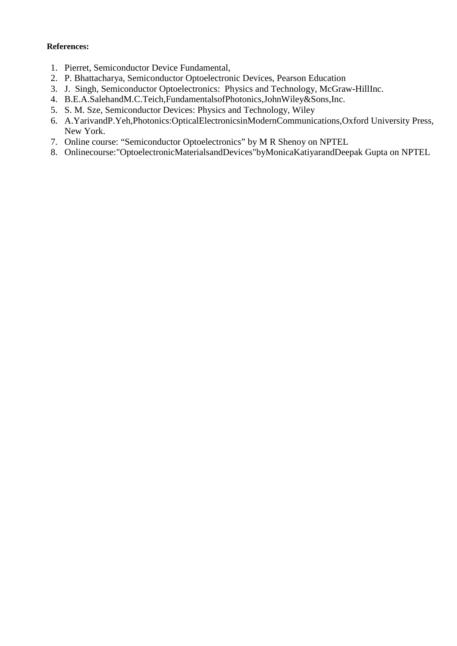# **References:**

- 1. Pierret, Semiconductor Device Fundamental,
- 2. P. Bhattacharya, Semiconductor Optoelectronic Devices, Pearson Education
- 3. J. Singh, Semiconductor Optoelectronics: Physics and Technology, McGraw-HillInc.
- 4. B.E.A.SalehandM.C.Teich,FundamentalsofPhotonics,JohnWiley&Sons,Inc.
- 5. S. M. Sze, Semiconductor Devices: Physics and Technology, Wiley
- 6. A.YarivandP.Yeh,Photonics:OpticalElectronicsinModernCommunications,Oxford University Press, New York.
- 7. Online course: "Semiconductor Optoelectronics" by M R Shenoy on NPTEL
- 8. Onlinecourse:"OptoelectronicMaterialsandDevices"byMonicaKatiyarandDeepak Gupta on NPTEL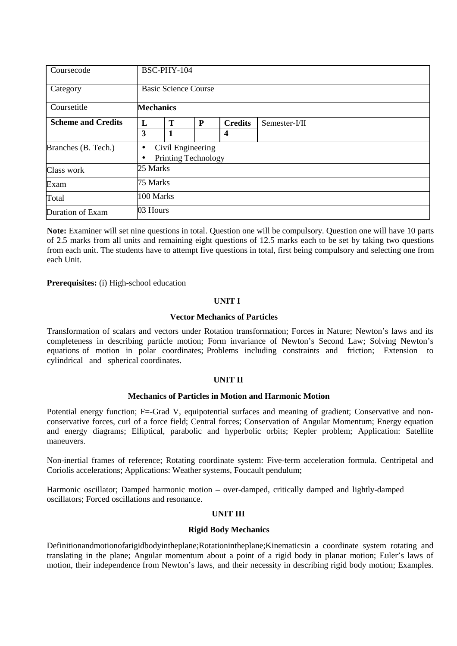| Coursecode                |           | BSC-PHY-104                 |                                                 |                |               |  |  |  |  |  |
|---------------------------|-----------|-----------------------------|-------------------------------------------------|----------------|---------------|--|--|--|--|--|
| Category                  |           | <b>Basic Science Course</b> |                                                 |                |               |  |  |  |  |  |
| Coursetitle               |           | <b>Mechanics</b>            |                                                 |                |               |  |  |  |  |  |
| <b>Scheme and Credits</b> | L         | T                           | P                                               | <b>Credits</b> | Semester-I/II |  |  |  |  |  |
|                           | 3         | 1                           |                                                 | 4              |               |  |  |  |  |  |
| Branches (B. Tech.)       | $\bullet$ |                             | Civil Engineering<br><b>Printing Technology</b> |                |               |  |  |  |  |  |
| Class work                | 25 Marks  |                             |                                                 |                |               |  |  |  |  |  |
| Exam                      |           | 75 Marks                    |                                                 |                |               |  |  |  |  |  |
| Total                     |           | 100 Marks                   |                                                 |                |               |  |  |  |  |  |
| Duration of Exam          | 03 Hours  |                             |                                                 |                |               |  |  |  |  |  |

**Note:** Examiner will set nine questions in total. Question one will be compulsory. Question one will have 10 parts of 2.5 marks from all units and remaining eight questions of 12.5 marks each to be set by taking two questions from each unit. The students have to attempt five questions in total, first being compulsory and selecting one from each Unit.

**Prerequisites:** (i) High-school education

#### **UNIT I**

#### **Vector Mechanics of Particles**

Transformation of scalars and vectors under Rotation transformation; Forces in Nature; Newton's laws and its completeness in describing particle motion; Form invariance of Newton's Second Law; Solving Newton's equations of motion in polar coordinates; Problems including constraints and friction; Extension to cylindrical and spherical coordinates.

#### **UNIT II**

#### **Mechanics of Particles in Motion and Harmonic Motion**

Potential energy function; F=-Grad V, equipotential surfaces and meaning of gradient; Conservative and nonconservative forces, curl of a force field; Central forces; Conservation of Angular Momentum; Energy equation and energy diagrams; Elliptical, parabolic and hyperbolic orbits; Kepler problem; Application: Satellite maneuvers.

Non-inertial frames of reference; Rotating coordinate system: Five-term acceleration formula. Centripetal and Coriolis accelerations; Applications: Weather systems, Foucault pendulum;

Harmonic oscillator; Damped harmonic motion – over-damped, critically damped and lightly-damped oscillators; Forced oscillations and resonance.

#### **UNIT III**

#### **Rigid Body Mechanics**

Definitionandmotionofarigidbodyintheplane;Rotationintheplane;Kinematicsin a coordinate system rotating and translating in the plane; Angular momentum about a point of a rigid body in planar motion; Euler's laws of motion, their independence from Newton's laws, and their necessity in describing rigid body motion; Examples.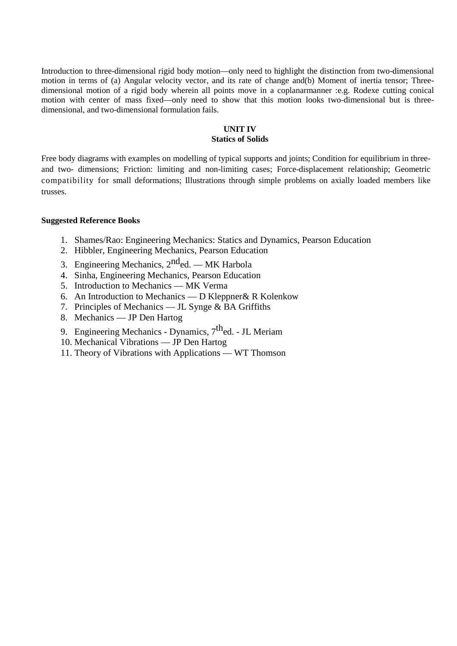Introduction to three-dimensional rigid body motion—only need to highlight the distinction from two-dimensional motion in terms of (a) Angular velocity vector, and its rate of change and(b) Moment of inertia tensor; Threedimensional motion of a rigid body wherein all points move in a coplanarmanner :e.g. Rodexe cutting conical motion with center of mass fixed—only need to show that this motion looks two-dimensional but is threedimensional, and two-dimensional formulation fails.

#### **UNIT IV Statics of Solids**

Free body diagrams with examples on modelling of typical supports and joints; Condition for equilibrium in threeand two- dimensions; Friction: limiting and non-limiting cases; Force-displacement relationship; Geometric compatibility for small deformations; Illustrations through simple problems on axially loaded members like trusses.

#### **Suggested Reference Books**

- 1. Shames/Rao: Engineering Mechanics: Statics and Dynamics, Pearson Education
- 2. Hibbler, Engineering Mechanics, Pearson Education
- 3. Engineering Mechanics,  $2^{nd}$ ed. MK Harbola
- 4. Sinha, Engineering Mechanics, Pearson Education
- 5. Introduction to Mechanics MK Verma
- 6. An Introduction to Mechanics D Kleppner& R Kolenkow
- 7. Principles of Mechanics JL Synge & BA Griffiths
- 8. Mechanics JP Den Hartog
- 9. Engineering Mechanics Dynamics,  $7<sup>th</sup>$ ed. JL Meriam
- 10. Mechanical Vibrations JP Den Hartog
- 11. Theory of Vibrations with Applications WT Thomson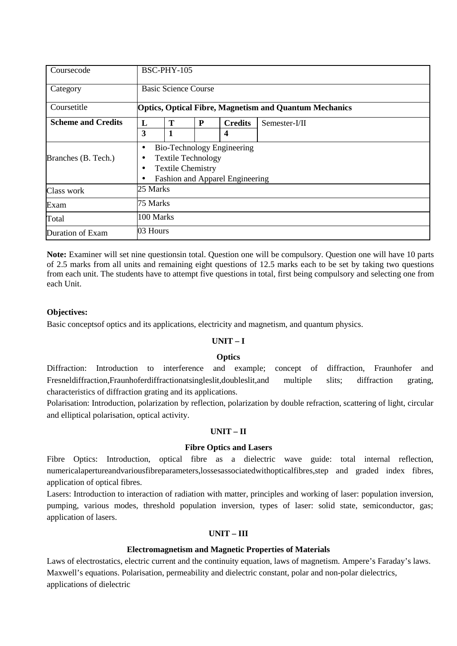| Coursecode                |           | BSC-PHY-105                                                                                                                   |   |                |                 |  |  |  |  |
|---------------------------|-----------|-------------------------------------------------------------------------------------------------------------------------------|---|----------------|-----------------|--|--|--|--|
| Category                  |           | <b>Basic Science Course</b>                                                                                                   |   |                |                 |  |  |  |  |
| Coursetitle               |           | <b>Optics, Optical Fibre, Magnetism and Quantum Mechanics</b>                                                                 |   |                |                 |  |  |  |  |
| <b>Scheme and Credits</b> | L         | Т                                                                                                                             | P | <b>Credits</b> | $Semester-I/II$ |  |  |  |  |
|                           | 3         | 1                                                                                                                             |   | 4              |                 |  |  |  |  |
| Branches (B. Tech.)       |           | <b>Bio-Technology Engineering</b><br><b>Textile Technology</b><br><b>Textile Chemistry</b><br>Fashion and Apparel Engineering |   |                |                 |  |  |  |  |
| Class work                | 25 Marks  |                                                                                                                               |   |                |                 |  |  |  |  |
| Exam                      |           | 75 Marks                                                                                                                      |   |                |                 |  |  |  |  |
| Total                     | 100 Marks |                                                                                                                               |   |                |                 |  |  |  |  |
| Duration of Exam          | 03 Hours  |                                                                                                                               |   |                |                 |  |  |  |  |

**Note:** Examiner will set nine questionsin total. Question one will be compulsory. Question one will have 10 parts of 2.5 marks from all units and remaining eight questions of 12.5 marks each to be set by taking two questions from each unit. The students have to attempt five questions in total, first being compulsory and selecting one from each Unit.

#### **Objectives:**

Basic conceptsof optics and its applications, electricity and magnetism, and quantum physics.

#### **UNIT – I**

#### **Optics**

Diffraction: Introduction to interference and example; concept of diffraction, Fraunhofer and Fresneldiffraction,Fraunhoferdiffractionatsingleslit,doubleslit,and multiple slits; diffraction grating, characteristics of diffraction grating and its applications.

Polarisation: Introduction, polarization by reflection, polarization by double refraction, scattering of light, circular and elliptical polarisation, optical activity.

#### **UNIT – II**

#### **Fibre Optics and Lasers**

Fibre Optics: Introduction, optical fibre as a dielectric wave guide: total internal reflection, numericalapertureandvariousfibreparameters,lossesassociatedwithopticalfibres,step and graded index fibres, application of optical fibres.

Lasers: Introduction to interaction of radiation with matter, principles and working of laser: population inversion, pumping, various modes, threshold population inversion, types of laser: solid state, semiconductor, gas; application of lasers.

#### **UNIT – III**

#### **Electromagnetism and Magnetic Properties of Materials**

Laws of electrostatics, electric current and the continuity equation, laws of magnetism. Ampere's Faraday's laws. Maxwell's equations. Polarisation, permeability and dielectric constant, polar and non-polar dielectrics, applications of dielectric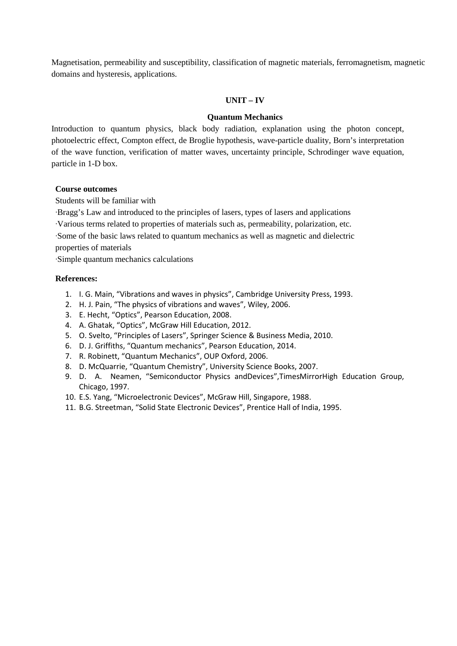Magnetisation, permeability and susceptibility, classification of magnetic materials, ferromagnetism, magnetic domains and hysteresis, applications.

#### **UNIT – IV**

#### **Quantum Mechanics**

Introduction to quantum physics, black body radiation, explanation using the photon concept, photoelectric effect, Compton effect, de Broglie hypothesis, wave-particle duality, Born's interpretation of the wave function, verification of matter waves, uncertainty principle, Schrodinger wave equation, particle in 1-D box.

#### **Course outcomes**

Students will be familiar with

·Bragg's Law and introduced to the principles of lasers, types of lasers and applications

·Various terms related to properties of materials such as, permeability, polarization, etc.

·Some of the basic laws related to quantum mechanics as well as magnetic and dielectric properties of materials

·Simple quantum mechanics calculations

#### **References:**

- 1. I. G. Main, "Vibrations and waves in physics", Cambridge University Press, 1993.
- 2. H. J. Pain, "The physics of vibrations and waves", Wiley, 2006.
- 3. E. Hecht, "Optics", Pearson Education, 2008.
- 4. A. Ghatak, "Optics", McGraw Hill Education, 2012.
- 5. O. Svelto, "Principles of Lasers", Springer Science & Business Media, 2010.
- 6. D. J. Griffiths, "Quantum mechanics", Pearson Education, 2014.
- 7. R. Robinett, "Quantum Mechanics", OUP Oxford, 2006.
- 8. D. McQuarrie, "Quantum Chemistry", University Science Books, 2007.
- 9. D. A. Neamen, "Semiconductor Physics andDevices",TimesMirrorHigh Education Group, Chicago, 1997.
- 10. E.S. Yang, "Microelectronic Devices", McGraw Hill, Singapore, 1988.
- 11. B.G. Streetman, "Solid State Electronic Devices", Prentice Hall of India, 1995.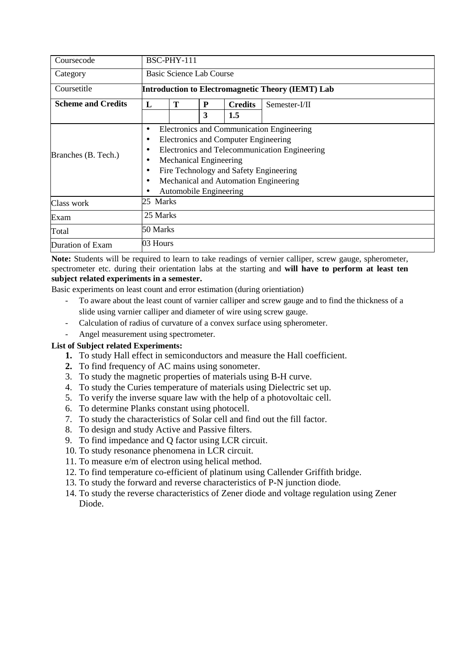| Coursecode                |           | BSC-PHY-111                                                                                                                                                                                                                                                                      |   |     |  |  |  |  |  |  |
|---------------------------|-----------|----------------------------------------------------------------------------------------------------------------------------------------------------------------------------------------------------------------------------------------------------------------------------------|---|-----|--|--|--|--|--|--|
| Category                  |           | Basic Science Lab Course                                                                                                                                                                                                                                                         |   |     |  |  |  |  |  |  |
| Coursetitle               |           | Introduction to Electromagnetic Theory (IEMT) Lab                                                                                                                                                                                                                                |   |     |  |  |  |  |  |  |
| <b>Scheme and Credits</b> | L         | T<br>Semester-I/II<br>P<br><b>Credits</b>                                                                                                                                                                                                                                        |   |     |  |  |  |  |  |  |
|                           |           |                                                                                                                                                                                                                                                                                  | 3 | 1.5 |  |  |  |  |  |  |
| Branches (B. Tech.)       | $\bullet$ | Electronics and Communication Engineering<br><b>Electronics and Computer Engineering</b><br>Electronics and Telecommunication Engineering<br>Mechanical Engineering<br>Fire Technology and Safety Engineering<br>Mechanical and Automation Engineering<br>Automobile Engineering |   |     |  |  |  |  |  |  |
| Class work                | 25 Marks  |                                                                                                                                                                                                                                                                                  |   |     |  |  |  |  |  |  |
| Exam                      |           | 25 Marks                                                                                                                                                                                                                                                                         |   |     |  |  |  |  |  |  |
| Total                     | 50 Marks  |                                                                                                                                                                                                                                                                                  |   |     |  |  |  |  |  |  |
| Duration of Exam          | 03 Hours  |                                                                                                                                                                                                                                                                                  |   |     |  |  |  |  |  |  |

Basic experiments on least count and error estimation (during orientiation)

- To aware about the least count of varnier calliper and screw gauge and to find the thickness of a slide using varnier calliper and diameter of wire using screw gauge.
- Calculation of radius of curvature of a convex surface using spherometer.
- Angel measurement using spectrometer.

# **List of Subject related Experiments:**

- **1.** To study Hall effect in semiconductors and measure the Hall coefficient.
- **2.** To find frequency of AC mains using sonometer.
- 3. To study the magnetic properties of materials using B-H curve.
- 4. To study the Curies temperature of materials using Dielectric set up.
- 5. To verify the inverse square law with the help of a photovoltaic cell.
- 6. To determine Planks constant using photocell.
- 7. To study the characteristics of Solar cell and find out the fill factor.
- 8. To design and study Active and Passive filters.
- 9. To find impedance and Q factor using LCR circuit.
- 10. To study resonance phenomena in LCR circuit.
- 11. To measure e/m of electron using helical method.
- 12. To find temperature co-efficient of platinum using Callender Griffith bridge.
- 13. To study the forward and reverse characteristics of P-N junction diode.
- 14. To study the reverse characteristics of Zener diode and voltage regulation using Zener Diode.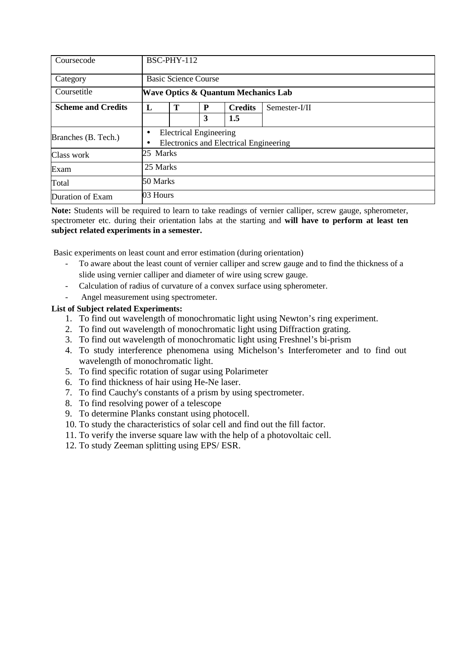| Coursecode                |           | BSC-PHY-112                                                             |   |                |               |  |  |  |  |
|---------------------------|-----------|-------------------------------------------------------------------------|---|----------------|---------------|--|--|--|--|
| Category                  |           | <b>Basic Science Course</b>                                             |   |                |               |  |  |  |  |
| Coursetitle               |           | <b>Wave Optics &amp; Quantum Mechanics Lab</b>                          |   |                |               |  |  |  |  |
| <b>Scheme and Credits</b> | L         | Т                                                                       | P | <b>Credits</b> | Semester-I/II |  |  |  |  |
|                           |           |                                                                         | 3 | 1.5            |               |  |  |  |  |
| Branches (B. Tech.)       | $\bullet$ | <b>Electrical Engineering</b><br>Electronics and Electrical Engineering |   |                |               |  |  |  |  |
| Class work                | 25 Marks  |                                                                         |   |                |               |  |  |  |  |
| Exam                      |           | 25 Marks                                                                |   |                |               |  |  |  |  |
| Total                     |           | 50 Marks                                                                |   |                |               |  |  |  |  |
| Duration of Exam          | 03 Hours  |                                                                         |   |                |               |  |  |  |  |

Basic experiments on least count and error estimation (during orientation)

- To aware about the least count of vernier calliper and screw gauge and to find the thickness of a slide using vernier calliper and diameter of wire using screw gauge.
- Calculation of radius of curvature of a convex surface using spherometer.
- Angel measurement using spectrometer.

#### **List of Subject related Experiments:**

- 1. To find out wavelength of monochromatic light using Newton's ring experiment.
- 2. To find out wavelength of monochromatic light using Diffraction grating.
- 3. To find out wavelength of monochromatic light using Freshnel's bi-prism
- 4. To study interference phenomena using Michelson's Interferometer and to find out wavelength of monochromatic light.
- 5. To find specific rotation of sugar using Polarimeter
- 6. To find thickness of hair using He-Ne laser.
- 7. To find Cauchy's constants of a prism by using spectrometer.
- 8. To find resolving power of a telescope
- 9. To determine Planks constant using photocell.
- 10. To study the characteristics of solar cell and find out the fill factor.
- 11. To verify the inverse square law with the help of a photovoltaic cell.
- 12. To study Zeeman splitting using EPS/ ESR.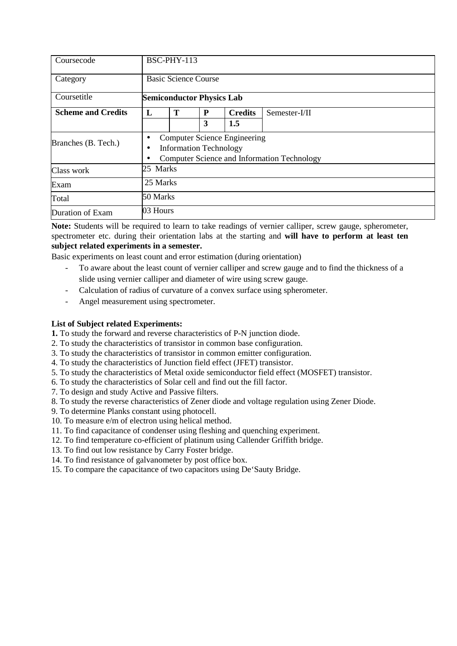| Coursecode                |           | BSC-PHY-113                                                                                                         |   |                |               |  |  |  |  |
|---------------------------|-----------|---------------------------------------------------------------------------------------------------------------------|---|----------------|---------------|--|--|--|--|
| Category                  |           | <b>Basic Science Course</b>                                                                                         |   |                |               |  |  |  |  |
| Coursetitle               |           | <b>Semiconductor Physics Lab</b>                                                                                    |   |                |               |  |  |  |  |
| <b>Scheme and Credits</b> | L         | Т                                                                                                                   | P | <b>Credits</b> | Semester-I/II |  |  |  |  |
|                           |           |                                                                                                                     | 3 | 1.5            |               |  |  |  |  |
| Branches (B. Tech.)       | $\bullet$ | <b>Computer Science Engineering</b><br><b>Information Technology</b><br>Computer Science and Information Technology |   |                |               |  |  |  |  |
| Class work                | 25 Marks  |                                                                                                                     |   |                |               |  |  |  |  |
| Exam                      |           | 25 Marks                                                                                                            |   |                |               |  |  |  |  |
| Total                     | 50 Marks  |                                                                                                                     |   |                |               |  |  |  |  |
| Duration of Exam          | 03 Hours  |                                                                                                                     |   |                |               |  |  |  |  |

Basic experiments on least count and error estimation (during orientation)

- To aware about the least count of vernier calliper and screw gauge and to find the thickness of a slide using vernier calliper and diameter of wire using screw gauge.
- Calculation of radius of curvature of a convex surface using spherometer.
- Angel measurement using spectrometer.

#### **List of Subject related Experiments:**

**1.** To study the forward and reverse characteristics of P-N junction diode.

2. To study the characteristics of transistor in common base configuration.

- 3. To study the characteristics of transistor in common emitter configuration.
- 4. To study the characteristics of Junction field effect (JFET) transistor.
- 5. To study the characteristics of Metal oxide semiconductor field effect (MOSFET) transistor.
- 6. To study the characteristics of Solar cell and find out the fill factor.
- 7. To design and study Active and Passive filters.
- 8. To study the reverse characteristics of Zener diode and voltage regulation using Zener Diode.
- 9. To determine Planks constant using photocell.
- 10. To measure e/m of electron using helical method.
- 11. To find capacitance of condenser using fleshing and quenching experiment.
- 12. To find temperature co-efficient of platinum using Callender Griffith bridge.
- 13. To find out low resistance by Carry Foster bridge.
- 14. To find resistance of galvanometer by post office box.
- 15. To compare the capacitance of two capacitors using De'Sauty Bridge.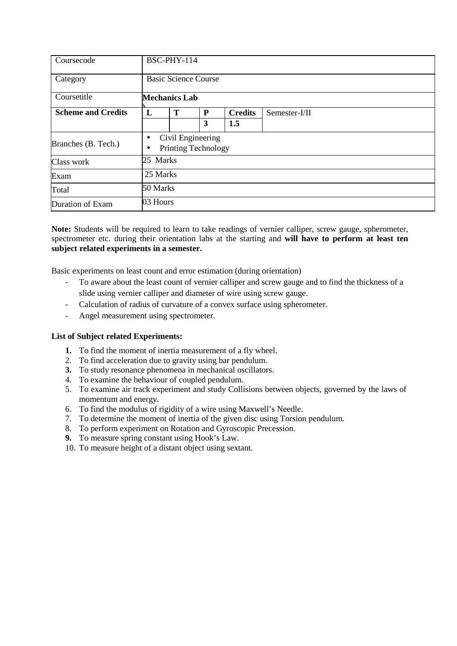| Coursecode                |                | BSC-PHY-114                                     |   |                |               |  |  |  |  |
|---------------------------|----------------|-------------------------------------------------|---|----------------|---------------|--|--|--|--|
| Category                  |                | <b>Basic Science Course</b>                     |   |                |               |  |  |  |  |
| Coursetitle               |                | <b>Mechanics Lab</b>                            |   |                |               |  |  |  |  |
| <b>Scheme and Credits</b> | L              | T                                               | P | <b>Credits</b> | Semester-I/II |  |  |  |  |
|                           |                |                                                 | 3 | 1.5            |               |  |  |  |  |
| Branches (B. Tech.)       | $\bullet$<br>٠ | Civil Engineering<br><b>Printing Technology</b> |   |                |               |  |  |  |  |
| Class work                | 25 Marks       |                                                 |   |                |               |  |  |  |  |
| Exam                      |                | 25 Marks                                        |   |                |               |  |  |  |  |
| Total                     |                | 50 Marks                                        |   |                |               |  |  |  |  |
| Duration of Exam          | 03 Hours       |                                                 |   |                |               |  |  |  |  |

Basic experiments on least count and error estimation (during orientation)

- To aware about the least count of vernier calliper and screw gauge and to find the thickness of a slide using vernier calliper and diameter of wire using screw gauge.
- Calculation of radius of curvature of a convex surface using spherometer.
- Angel measurement using spectrometer.

#### **List of Subject related Experiments:**

- **1.** To find the moment of inertia measurement of a fly wheel.
- 2. To find acceleration due to gravity using bar pendulum.
- **3.** To study resonance phenomena in mechanical oscillators.
- 4. To examine the behaviour of coupled pendulum.
- 5. To examine air track experiment and study Collisions between objects, governed by the laws of momentum and energy.
- 6. To find the modulus of rigidity of a wire using Maxwell's Needle.
- 7. To determine the moment of inertia of the given disc using Torsion pendulum.
- 8. To perform experiment on Rotation and Gyroscopic Precession.
- **9.** To measure spring constant using Hook's Law.
- 10. To measure height of a distant object using sextant.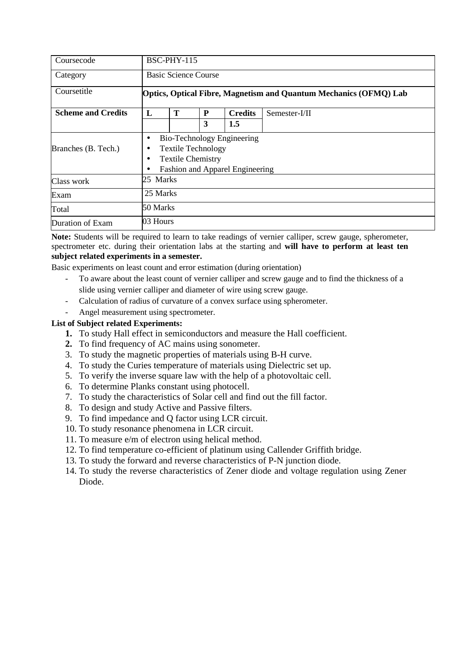| Coursecode                |          | BSC-PHY-115                                                                                                            |   |                |               |  |  |  |  |
|---------------------------|----------|------------------------------------------------------------------------------------------------------------------------|---|----------------|---------------|--|--|--|--|
| Category                  |          | <b>Basic Science Course</b>                                                                                            |   |                |               |  |  |  |  |
| Coursetitle               |          | Optics, Optical Fibre, Magnetism and Quantum Mechanics (OFMQ) Lab                                                      |   |                |               |  |  |  |  |
| <b>Scheme and Credits</b> | L        | T                                                                                                                      | P | <b>Credits</b> | Semester-I/II |  |  |  |  |
|                           |          |                                                                                                                        | 3 | 1.5            |               |  |  |  |  |
| Branches (B. Tech.)       | ٠        | Bio-Technology Engineering<br><b>Textile Technology</b><br><b>Textile Chemistry</b><br>Fashion and Apparel Engineering |   |                |               |  |  |  |  |
| Class work                | 25 Marks |                                                                                                                        |   |                |               |  |  |  |  |
| Exam                      |          | 25 Marks                                                                                                               |   |                |               |  |  |  |  |
| Total                     | 50 Marks |                                                                                                                        |   |                |               |  |  |  |  |
| Duration of Exam          | 03 Hours |                                                                                                                        |   |                |               |  |  |  |  |

Basic experiments on least count and error estimation (during orientation)

- To aware about the least count of vernier calliper and screw gauge and to find the thickness of a slide using vernier calliper and diameter of wire using screw gauge.
- Calculation of radius of curvature of a convex surface using spherometer.
- Angel measurement using spectrometer.

## **List of Subject related Experiments:**

- **1.** To study Hall effect in semiconductors and measure the Hall coefficient.
- **2.** To find frequency of AC mains using sonometer.
- 3. To study the magnetic properties of materials using B-H curve.
- 4. To study the Curies temperature of materials using Dielectric set up.
- 5. To verify the inverse square law with the help of a photovoltaic cell.
- 6. To determine Planks constant using photocell.
- 7. To study the characteristics of Solar cell and find out the fill factor.
- 8. To design and study Active and Passive filters.
- 9. To find impedance and Q factor using LCR circuit.
- 10. To study resonance phenomena in LCR circuit.
- 11. To measure e/m of electron using helical method.
- 12. To find temperature co-efficient of platinum using Callender Griffith bridge.
- 13. To study the forward and reverse characteristics of P-N junction diode.
- 14. To study the reverse characteristics of Zener diode and voltage regulation using Zener Diode.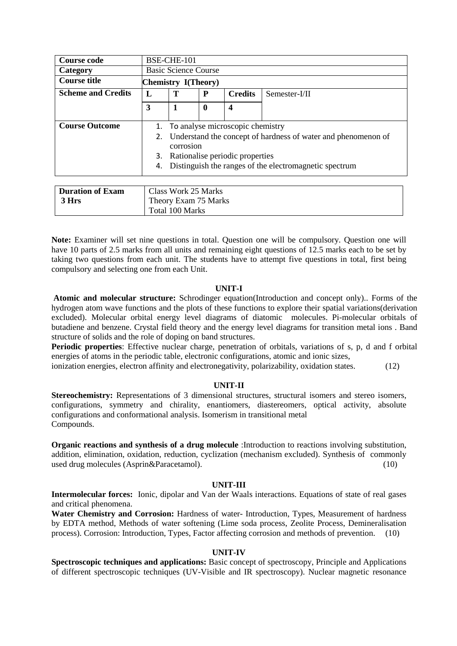| <b>Course code</b>        |    | BSE-CHE-101                                                   |   |                                  |  |  |  |  |  |
|---------------------------|----|---------------------------------------------------------------|---|----------------------------------|--|--|--|--|--|
| Category                  |    | <b>Basic Science Course</b>                                   |   |                                  |  |  |  |  |  |
| <b>Course title</b>       |    | Chemistry I(Theory)                                           |   |                                  |  |  |  |  |  |
| <b>Scheme and Credits</b> | L  | Т<br><b>Credits</b><br>P<br>Semester-I/II                     |   |                                  |  |  |  |  |  |
|                           | 3  |                                                               | 0 | 4                                |  |  |  |  |  |
|                           |    |                                                               |   |                                  |  |  |  |  |  |
| <b>Course Outcome</b>     | 1. |                                                               |   | To analyse microscopic chemistry |  |  |  |  |  |
|                           | 2. | Understand the concept of hardness of water and phenomenon of |   |                                  |  |  |  |  |  |
|                           |    | corrosion                                                     |   |                                  |  |  |  |  |  |
|                           | 3. | Rationalise periodic properties                               |   |                                  |  |  |  |  |  |
|                           | 4. | Distinguish the ranges of the electromagnetic spectrum        |   |                                  |  |  |  |  |  |
|                           |    |                                                               |   |                                  |  |  |  |  |  |

| Duration of Exam | Class Work 25 Marks  |
|------------------|----------------------|
| 3 Hrs            | Theory Exam 75 Marks |
|                  | Total 100 Marks      |

**Note:** Examiner will set nine questions in total. Question one will be compulsory. Question one will have 10 parts of 2.5 marks from all units and remaining eight questions of 12.5 marks each to be set by taking two questions from each unit. The students have to attempt five questions in total, first being compulsory and selecting one from each Unit.

#### **UNIT-I**

 **Atomic and molecular structure:** Schrodinger equation(Introduction and concept only).. Forms of the hydrogen atom wave functions and the plots of these functions to explore their spatial variations(derivation excluded). Molecular orbital energy level diagrams of diatomic molecules. Pi-molecular orbitals of butadiene and benzene. Crystal field theory and the energy level diagrams for transition metal ions . Band structure of solids and the role of doping on band structures.

**Periodic properties**: Effective nuclear charge, penetration of orbitals, variations of s, p, d and f orbital energies of atoms in the periodic table, electronic configurations, atomic and ionic sizes,

ionization energies, electron affinity and electronegativity, polarizability, oxidation states. (12)

#### **UNIT-II**

**Stereochemistry:** Representations of 3 dimensional structures, structural isomers and stereo isomers, configurations, symmetry and chirality, enantiomers, diastereomers, optical activity, absolute configurations and conformational analysis. Isomerism in transitional metal Compounds.

**Organic reactions and synthesis of a drug molecule** :Introduction to reactions involving substitution, addition, elimination, oxidation, reduction, cyclization (mechanism excluded). Synthesis of commonly used drug molecules (Asprin&Paracetamol). (10)

#### **UNIT-III**

**Intermolecular forces:** Ionic, dipolar and Van der Waals interactions. Equations of state of real gases and critical phenomena.

**Water Chemistry and Corrosion:** Hardness of water- Introduction, Types, Measurement of hardness by EDTA method, Methods of water softening (Lime soda process, Zeolite Process, Demineralisation process). Corrosion: Introduction, Types, Factor affecting corrosion and methods of prevention. (10)

#### **UNIT-IV**

**Spectroscopic techniques and applications:** Basic concept of spectroscopy, Principle and Applications of different spectroscopic techniques (UV-Visible and IR spectroscopy). Nuclear magnetic resonance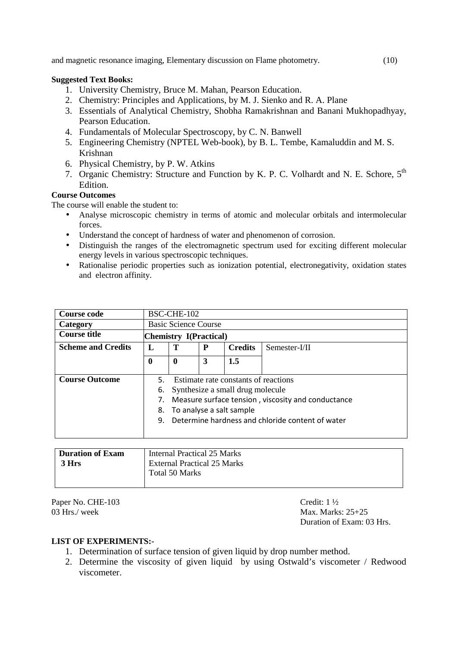and magnetic resonance imaging, Elementary discussion on Flame photometry. (10)

# **Suggested Text Books:**

- 1. University Chemistry, Bruce M. Mahan, Pearson Education.
- 2. Chemistry: Principles and Applications, by M. J. Sienko and R. A. Plane
- 3. Essentials of Analytical Chemistry, Shobha Ramakrishnan and Banani Mukhopadhyay, Pearson Education.
- 4. Fundamentals of Molecular Spectroscopy, by C. N. Banwell
- 5. Engineering Chemistry (NPTEL Web-book), by B. L. Tembe, Kamaluddin and M. S. Krishnan
- 6. Physical Chemistry, by P. W. Atkins
- 7. Organic Chemistry: Structure and Function by K. P. C. Volhardt and N. E. Schore, 5<sup>th</sup> Edition.

# **Course Outcomes**

The course will enable the student to:

- Analyse microscopic chemistry in terms of atomic and molecular orbitals and intermolecular forces.
- Understand the concept of hardness of water and phenomenon of corrosion.
- Distinguish the ranges of the electromagnetic spectrum used for exciting different molecular energy levels in various spectroscopic techniques.
- Rationalise periodic properties such as ionization potential, electronegativity, oxidation states and electron affinity.

| Course code               |             | BSC-CHE-102                                      |   |                                      |                                                    |  |  |  |  |  |
|---------------------------|-------------|--------------------------------------------------|---|--------------------------------------|----------------------------------------------------|--|--|--|--|--|
| Category                  |             | <b>Basic Science Course</b>                      |   |                                      |                                                    |  |  |  |  |  |
| <b>Course title</b>       |             | Chemistry I(Practical)                           |   |                                      |                                                    |  |  |  |  |  |
| <b>Scheme and Credits</b> | L           | т<br><b>Credits</b><br>P<br>Semester-I/II        |   |                                      |                                                    |  |  |  |  |  |
|                           | $\mathbf 0$ | $\mathbf{0}$                                     | 3 | 1.5                                  |                                                    |  |  |  |  |  |
|                           |             |                                                  |   |                                      |                                                    |  |  |  |  |  |
| <b>Course Outcome</b>     | 5.          |                                                  |   | Estimate rate constants of reactions |                                                    |  |  |  |  |  |
|                           | 6.          |                                                  |   | Synthesize a small drug molecule     |                                                    |  |  |  |  |  |
|                           |             |                                                  |   |                                      | Measure surface tension, viscosity and conductance |  |  |  |  |  |
|                           | 8.          | To analyse a salt sample                         |   |                                      |                                                    |  |  |  |  |  |
|                           | 9.          | Determine hardness and chloride content of water |   |                                      |                                                    |  |  |  |  |  |
|                           |             |                                                  |   |                                      |                                                    |  |  |  |  |  |
|                           |             |                                                  |   |                                      |                                                    |  |  |  |  |  |

| <b>Duration of Exam</b> | Internal Practical 25 Marks        |
|-------------------------|------------------------------------|
| 3 Hrs                   | <b>External Practical 25 Marks</b> |
|                         | Total 50 Marks                     |
|                         |                                    |

Paper No. CHE-103<br>
03 Hrs./week Max. Marks

Max. Marks: 25+25 Duration of Exam: 03 Hrs.

# **LIST OF EXPERIMENTS:-**

- 1. Determination of surface tension of given liquid by drop number method.
- 2. Determine the viscosity of given liquid by using Ostwald's viscometer / Redwood viscometer.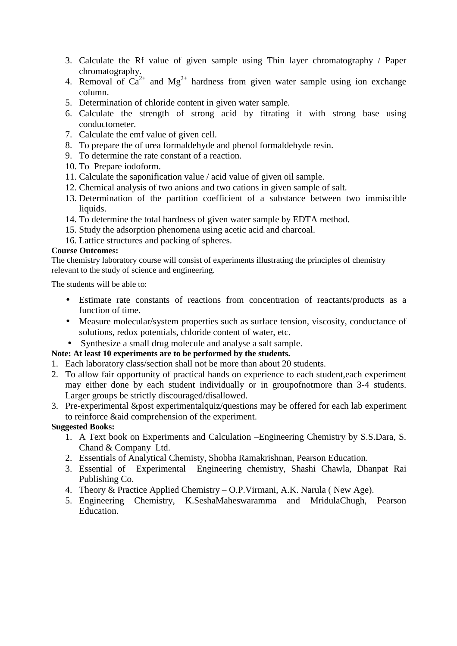- 3. Calculate the Rf value of given sample using Thin layer chromatography / Paper chromatography.
- 4. Removal of  $Ca^{2+}$  and  $Mg^{2+}$  hardness from given water sample using ion exchange column.
- 5. Determination of chloride content in given water sample.
- 6. Calculate the strength of strong acid by titrating it with strong base using conductometer.
- 7. Calculate the emf value of given cell.
- 8. To prepare the of urea formaldehyde and phenol formaldehyde resin.
- 9. To determine the rate constant of a reaction.
- 10. To Prepare iodoform.
- 11. Calculate the saponification value / acid value of given oil sample.
- 12. Chemical analysis of two anions and two cations in given sample of salt.
- 13. Determination of the partition coefficient of a substance between two immiscible liquids.
- 14. To determine the total hardness of given water sample by EDTA method.
- 15. Study the adsorption phenomena using acetic acid and charcoal.
- 16. Lattice structures and packing of spheres.

# **Course Outcomes:**

The chemistry laboratory course will consist of experiments illustrating the principles of chemistry relevant to the study of science and engineering.

The students will be able to:

- Estimate rate constants of reactions from concentration of reactants/products as a function of time.
- Measure molecular/system properties such as surface tension, viscosity, conductance of solutions, redox potentials, chloride content of water, etc.
- Synthesize a small drug molecule and analyse a salt sample.

# **Note: At least 10 experiments are to be performed by the students.**

- 1. Each laboratory class/section shall not be more than about 20 students.
- 2. To allow fair opportunity of practical hands on experience to each student,each experiment may either done by each student individually or in groupofnotmore than 3-4 students. Larger groups be strictly discouraged/disallowed.
- 3. Pre-experimental &post experimentalquiz/questions may be offered for each lab experiment to reinforce &aid comprehension of the experiment.

# **Suggested Books:**

- 1. A Text book on Experiments and Calculation –Engineering Chemistry by S.S.Dara, S. Chand & Company Ltd.
- 2. Essentials of Analytical Chemisty, Shobha Ramakrishnan, Pearson Education.
- 3. Essential of Experimental Engineering chemistry, Shashi Chawla, Dhanpat Rai Publishing Co.
- 4. Theory & Practice Applied Chemistry O.P.Virmani, A.K. Narula ( New Age).
- 5. Engineering Chemistry, K.SeshaMaheswaramma and MridulaChugh, Pearson Education.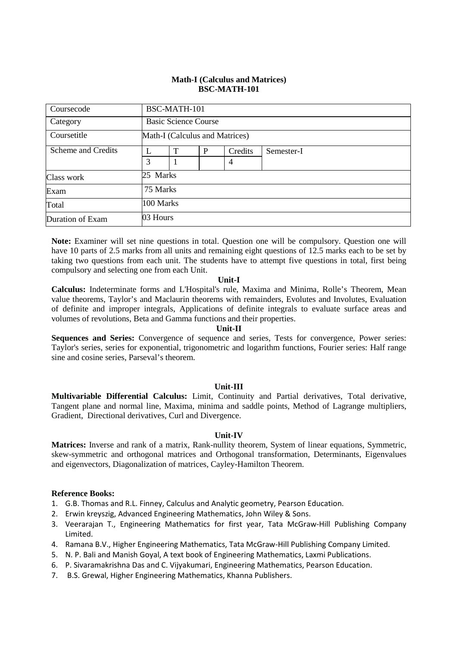#### **Math-I (Calculus and Matrices) BSC-MATH-101**

| Coursecode         |          | BSC-MATH-101                   |   |         |            |  |  |  |  |  |
|--------------------|----------|--------------------------------|---|---------|------------|--|--|--|--|--|
| Category           |          | <b>Basic Science Course</b>    |   |         |            |  |  |  |  |  |
| Coursetitle        |          | Math-I (Calculus and Matrices) |   |         |            |  |  |  |  |  |
| Scheme and Credits | L        | T                              | P | Credits | Semester-I |  |  |  |  |  |
|                    | 3        |                                |   | 4       |            |  |  |  |  |  |
| Class work         |          | 25 Marks                       |   |         |            |  |  |  |  |  |
| Exam               |          | 75 Marks                       |   |         |            |  |  |  |  |  |
| Total              |          | 100 Marks                      |   |         |            |  |  |  |  |  |
| Duration of Exam   | 03 Hours |                                |   |         |            |  |  |  |  |  |

**Note:** Examiner will set nine questions in total. Question one will be compulsory. Question one will have 10 parts of 2.5 marks from all units and remaining eight questions of 12.5 marks each to be set by taking two questions from each unit. The students have to attempt five questions in total, first being compulsory and selecting one from each Unit.

#### **Unit-I**

**Calculus:** Indeterminate forms and L'Hospital's rule, Maxima and Minima, Rolle's Theorem, Mean value theorems, Taylor's and Maclaurin theorems with remainders, Evolutes and Involutes, Evaluation of definite and improper integrals, Applications of definite integrals to evaluate surface areas and volumes of revolutions, Beta and Gamma functions and their properties.

#### **Unit-II**

**Sequences and Series:** Convergence of sequence and series, Tests for convergence, Power series: Taylor's series, series for exponential, trigonometric and logarithm functions, Fourier series: Half range sine and cosine series, Parseval's theorem.

#### **Unit-III**

**Multivariable Differential Calculus:** Limit, Continuity and Partial derivatives, Total derivative, Tangent plane and normal line, Maxima, minima and saddle points, Method of Lagrange multipliers, Gradient, Directional derivatives, Curl and Divergence.

#### **Unit-IV**

**Matrices:** Inverse and rank of a matrix, Rank-nullity theorem, System of linear equations, Symmetric, skew-symmetric and orthogonal matrices and Orthogonal transformation, Determinants, Eigenvalues and eigenvectors, Diagonalization of matrices, Cayley-Hamilton Theorem.

#### **Reference Books:**

- 1. G.B. Thomas and R.L. Finney, Calculus and Analytic geometry, Pearson Education.
- 2. Erwin kreyszig, Advanced Engineering Mathematics, John Wiley & Sons.
- 3. Veerarajan T., Engineering Mathematics for first year, Tata McGraw-Hill Publishing Company Limited.
- 4. Ramana B.V., Higher Engineering Mathematics, Tata McGraw-Hill Publishing Company Limited.
- 5. N. P. Bali and Manish Goyal, A text book of Engineering Mathematics, Laxmi Publications.
- 6. P. Sivaramakrishna Das and C. Vijyakumari, Engineering Mathematics, Pearson Education.
- 7. B.S. Grewal, Higher Engineering Mathematics, Khanna Publishers.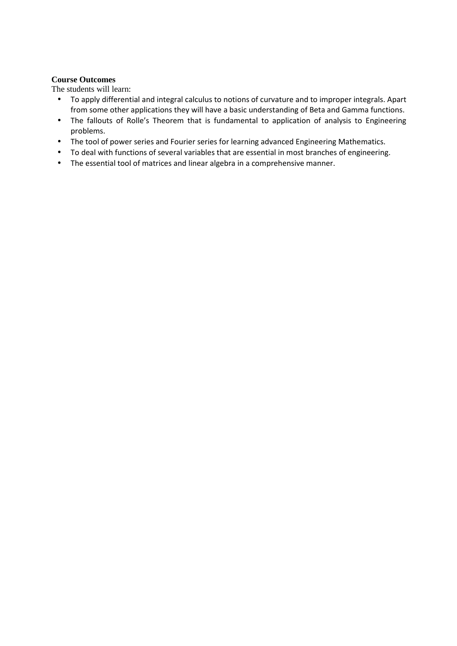#### **Course Outcomes**

The students will learn:

- To apply differential and integral calculus to notions of curvature and to improper integrals. Apart from some other applications they will have a basic understanding of Beta and Gamma functions.
- The fallouts of Rolle's Theorem that is fundamental to application of analysis to Engineering problems.
- The tool of power series and Fourier series for learning advanced Engineering Mathematics.
- To deal with functions of several variables that are essential in most branches of engineering.
- The essential tool of matrices and linear algebra in a comprehensive manner.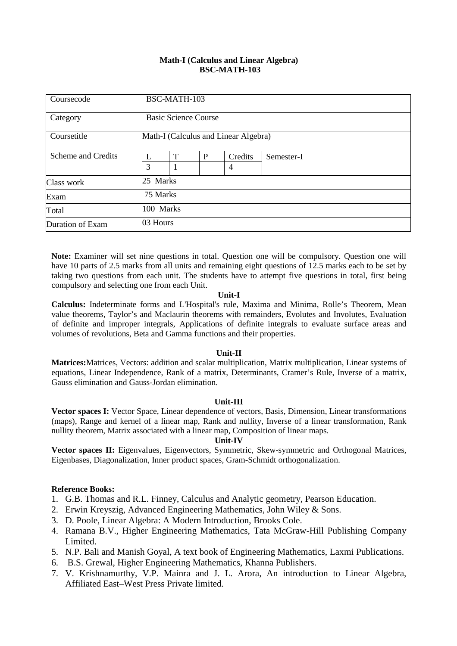#### **Math-I (Calculus and Linear Algebra) BSC-MATH-103**

| Coursecode         |          | BSC-MATH-103                         |   |                |            |  |  |  |
|--------------------|----------|--------------------------------------|---|----------------|------------|--|--|--|
| Category           |          | <b>Basic Science Course</b>          |   |                |            |  |  |  |
| Coursetitle        |          | Math-I (Calculus and Linear Algebra) |   |                |            |  |  |  |
| Scheme and Credits | L        | T                                    | P | Credits        | Semester-I |  |  |  |
|                    | 3        |                                      |   | $\overline{4}$ |            |  |  |  |
| Class work         |          | 25 Marks                             |   |                |            |  |  |  |
| Exam               |          | 75 Marks                             |   |                |            |  |  |  |
| Total              |          | 100 Marks                            |   |                |            |  |  |  |
| Duration of Exam   | 03 Hours |                                      |   |                |            |  |  |  |

**Note:** Examiner will set nine questions in total. Question one will be compulsory. Question one will have 10 parts of 2.5 marks from all units and remaining eight questions of 12.5 marks each to be set by taking two questions from each unit. The students have to attempt five questions in total, first being compulsory and selecting one from each Unit.

#### **Unit-I**

**Calculus:** Indeterminate forms and L'Hospital's rule, Maxima and Minima, Rolle's Theorem, Mean value theorems, Taylor's and Maclaurin theorems with remainders, Evolutes and Involutes, Evaluation of definite and improper integrals, Applications of definite integrals to evaluate surface areas and volumes of revolutions, Beta and Gamma functions and their properties.

#### **Unit-II**

**Matrices:**Matrices, Vectors: addition and scalar multiplication, Matrix multiplication, Linear systems of equations, Linear Independence, Rank of a matrix, Determinants, Cramer's Rule, Inverse of a matrix, Gauss elimination and Gauss-Jordan elimination.

#### **Unit-III**

**Vector spaces I:** Vector Space, Linear dependence of vectors, Basis, Dimension, Linear transformations (maps), Range and kernel of a linear map, Rank and nullity, Inverse of a linear transformation, Rank nullity theorem, Matrix associated with a linear map, Composition of linear maps.

## **Unit-IV**

**Vector spaces II:** Eigenvalues, Eigenvectors, Symmetric, Skew-symmetric and Orthogonal Matrices, Eigenbases, Diagonalization, Inner product spaces, Gram-Schmidt orthogonalization.

#### **Reference Books:**

- 1. G.B. Thomas and R.L. Finney, Calculus and Analytic geometry, Pearson Education.
- 2. Erwin Kreyszig, Advanced Engineering Mathematics, John Wiley & Sons.
- 3. D. Poole, Linear Algebra: A Modern Introduction, Brooks Cole.
- 4. Ramana B.V., Higher Engineering Mathematics, Tata McGraw-Hill Publishing Company Limited.
- 5. N.P. Bali and Manish Goyal, A text book of Engineering Mathematics, Laxmi Publications.
- 6. B.S. Grewal, Higher Engineering Mathematics, Khanna Publishers.
- 7. V. Krishnamurthy, V.P. Mainra and J. L. Arora, An introduction to Linear Algebra, Affiliated East–West Press Private limited.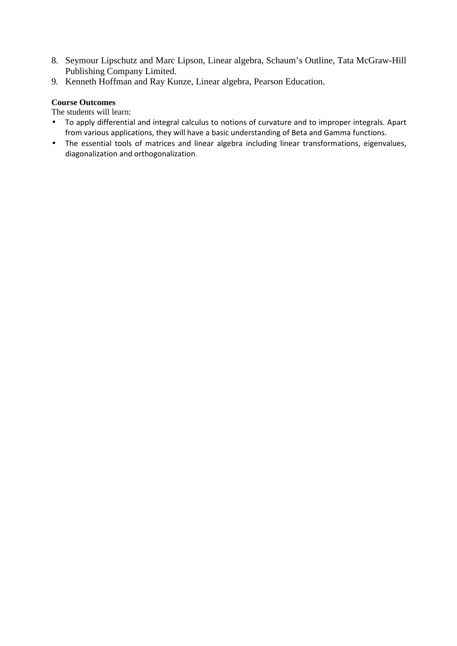- 8. Seymour Lipschutz and Marc Lipson, Linear algebra, Schaum's Outline, Tata McGraw-Hill Publishing Company Limited.
- 9. Kenneth Hoffman and Ray Kunze, Linear algebra, Pearson Education.

# **Course Outcomes**

The students will learn:

- To apply differential and integral calculus to notions of curvature and to improper integrals. Apart from various applications, they will have a basic understanding of Beta and Gamma functions.
- The essential tools of matrices and linear algebra including linear transformations, eigenvalues, diagonalization and orthogonalization.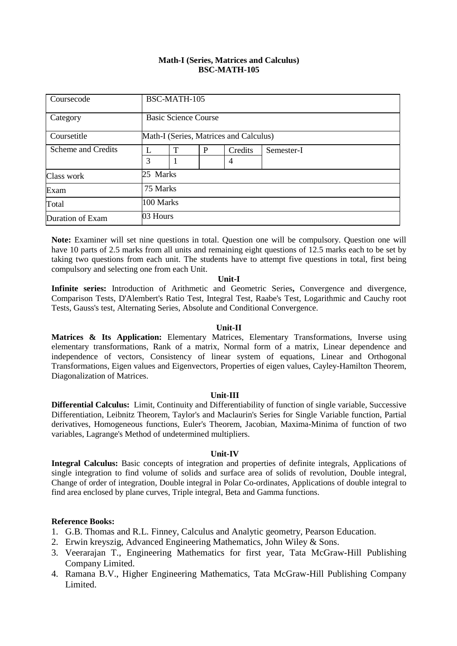#### **Math-I (Series, Matrices and Calculus) BSC-MATH-105**

| Coursecode         |          | BSC-MATH-105                           |   |         |            |  |  |
|--------------------|----------|----------------------------------------|---|---------|------------|--|--|
| Category           |          | <b>Basic Science Course</b>            |   |         |            |  |  |
| Coursetitle        |          | Math-I (Series, Matrices and Calculus) |   |         |            |  |  |
| Scheme and Credits |          | T                                      | P | Credits | Semester-I |  |  |
|                    | 3        |                                        |   | 4       |            |  |  |
| Class work         |          | 25 Marks                               |   |         |            |  |  |
| Exam               |          | 75 Marks                               |   |         |            |  |  |
| Total              |          | 100 Marks                              |   |         |            |  |  |
| Duration of Exam   | 03 Hours |                                        |   |         |            |  |  |

**Note:** Examiner will set nine questions in total. Question one will be compulsory. Question one will have 10 parts of 2.5 marks from all units and remaining eight questions of 12.5 marks each to be set by taking two questions from each unit. The students have to attempt five questions in total, first being compulsory and selecting one from each Unit.

#### **Unit-I**

**Infinite series:** Introduction of Arithmetic and Geometric Series**,** Convergence and divergence, Comparison Tests, D'Alembert's Ratio Test, Integral Test, Raabe's Test, Logarithmic and Cauchy root Tests, Gauss's test, Alternating Series, Absolute and Conditional Convergence.

#### **Unit-II**

Matrices & Its Application: Elementary Matrices, Elementary Transformations, Inverse using elementary transformations, Rank of a matrix, Normal form of a matrix, Linear dependence and independence of vectors, Consistency of linear system of equations, Linear and Orthogonal Transformations, Eigen values and Eigenvectors, Properties of eigen values, Cayley-Hamilton Theorem, Diagonalization of Matrices.

#### **Unit-III**

**Differential Calculus:** Limit, Continuity and Differentiability of function of single variable, Successive Differentiation, Leibnitz Theorem, Taylor's and Maclaurin's Series for Single Variable function, Partial derivatives, Homogeneous functions, Euler's Theorem, Jacobian, Maxima-Minima of function of two variables, Lagrange's Method of undetermined multipliers.

#### **Unit-IV**

**Integral Calculus:** Basic concepts of integration and properties of definite integrals, Applications of single integration to find volume of solids and surface area of solids of revolution, Double integral, Change of order of integration, Double integral in Polar Co-ordinates, Applications of double integral to find area enclosed by plane curves, Triple integral, Beta and Gamma functions.

#### **Reference Books:**

- 1. G.B. Thomas and R.L. Finney, Calculus and Analytic geometry, Pearson Education.
- 2. Erwin kreyszig, Advanced Engineering Mathematics, John Wiley & Sons.
- 3. Veerarajan T., Engineering Mathematics for first year, Tata McGraw-Hill Publishing Company Limited.
- 4. Ramana B.V., Higher Engineering Mathematics, Tata McGraw-Hill Publishing Company Limited.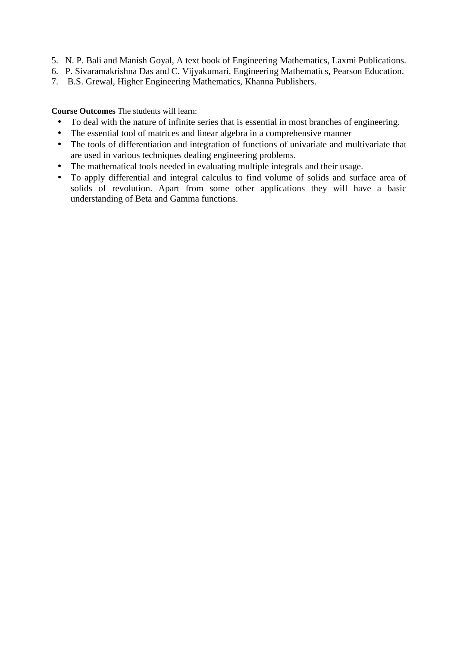- 5. N. P. Bali and Manish Goyal, A text book of Engineering Mathematics, Laxmi Publications.
- 6. P. Sivaramakrishna Das and C. Vijyakumari, Engineering Mathematics, Pearson Education.
- 7. B.S. Grewal, Higher Engineering Mathematics, Khanna Publishers.

**Course Outcomes** The students will learn:

- To deal with the nature of infinite series that is essential in most branches of engineering.
- The essential tool of matrices and linear algebra in a comprehensive manner
- The tools of differentiation and integration of functions of univariate and multivariate that are used in various techniques dealing engineering problems.
- The mathematical tools needed in evaluating multiple integrals and their usage.
- To apply differential and integral calculus to find volume of solids and surface area of solids of revolution. Apart from some other applications they will have a basic understanding of Beta and Gamma functions.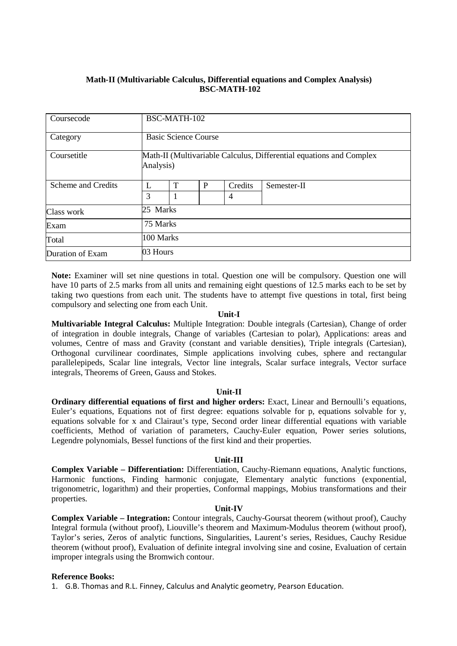# **Math-II (Multivariable Calculus, Differential equations and Complex Analysis) BSC-MATH-102**

| Coursecode         |           | BSC-MATH-102                                                                     |   |                |             |  |  |  |
|--------------------|-----------|----------------------------------------------------------------------------------|---|----------------|-------------|--|--|--|
| Category           |           | <b>Basic Science Course</b>                                                      |   |                |             |  |  |  |
| Coursetitle        |           | Math-II (Multivariable Calculus, Differential equations and Complex<br>Analysis) |   |                |             |  |  |  |
| Scheme and Credits | L         | T                                                                                | P | Credits        | Semester-II |  |  |  |
|                    | 3         | $\mathbf{1}$                                                                     |   | $\overline{4}$ |             |  |  |  |
| Class work         | 25 Marks  |                                                                                  |   |                |             |  |  |  |
| Exam               |           | 75 Marks                                                                         |   |                |             |  |  |  |
| Total              | 100 Marks |                                                                                  |   |                |             |  |  |  |
| Duration of Exam   | 03 Hours  |                                                                                  |   |                |             |  |  |  |

**Note:** Examiner will set nine questions in total. Question one will be compulsory. Question one will have 10 parts of 2.5 marks from all units and remaining eight questions of 12.5 marks each to be set by taking two questions from each unit. The students have to attempt five questions in total, first being compulsory and selecting one from each Unit.

#### **Unit-I**

**Multivariable Integral Calculus:** Multiple Integration: Double integrals (Cartesian), Change of order of integration in double integrals, Change of variables (Cartesian to polar), Applications: areas and volumes, Centre of mass and Gravity (constant and variable densities), Triple integrals (Cartesian), Orthogonal curvilinear coordinates, Simple applications involving cubes, sphere and rectangular parallelepipeds, Scalar line integrals, Vector line integrals, Scalar surface integrals, Vector surface integrals, Theorems of Green, Gauss and Stokes.

#### **Unit-II**

**Ordinary differential equations of first and higher orders:** Exact, Linear and Bernoulli's equations, Euler's equations, Equations not of first degree: equations solvable for p, equations solvable for y, equations solvable for x and Clairaut's type, Second order linear differential equations with variable coefficients, Method of variation of parameters, Cauchy-Euler equation, Power series solutions, Legendre polynomials, Bessel functions of the first kind and their properties.

#### **Unit-III**

**Complex Variable – Differentiation:** Differentiation, Cauchy-Riemann equations, Analytic functions, Harmonic functions, Finding harmonic conjugate, Elementary analytic functions (exponential, trigonometric, logarithm) and their properties, Conformal mappings, Mobius transformations and their properties.

#### **Unit-IV**

**Complex Variable – Integration:** Contour integrals, Cauchy-Goursat theorem (without proof), Cauchy Integral formula (without proof), Liouville's theorem and Maximum-Modulus theorem (without proof), Taylor's series, Zeros of analytic functions, Singularities, Laurent's series, Residues, Cauchy Residue theorem (without proof), Evaluation of definite integral involving sine and cosine, Evaluation of certain improper integrals using the Bromwich contour.

#### **Reference Books:**

1. G.B. Thomas and R.L. Finney, Calculus and Analytic geometry, Pearson Education.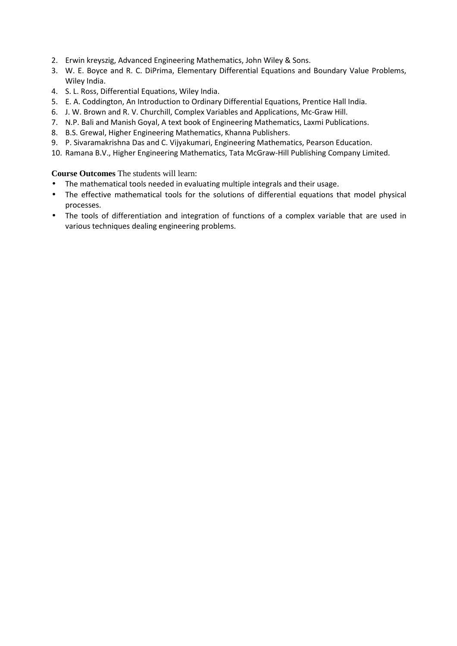- 2. Erwin kreyszig, Advanced Engineering Mathematics, John Wiley & Sons.
- 3. W. E. Boyce and R. C. DiPrima, Elementary Differential Equations and Boundary Value Problems, Wiley India.
- 4. S. L. Ross, Differential Equations, Wiley India.
- 5. E. A. Coddington, An Introduction to Ordinary Differential Equations, Prentice Hall India.
- 6. J. W. Brown and R. V. Churchill, Complex Variables and Applications, Mc-Graw Hill.
- 7. N.P. Bali and Manish Goyal, A text book of Engineering Mathematics, Laxmi Publications.
- 8. B.S. Grewal, Higher Engineering Mathematics, Khanna Publishers.
- 9. P. Sivaramakrishna Das and C. Vijyakumari, Engineering Mathematics, Pearson Education.
- 10. Ramana B.V., Higher Engineering Mathematics, Tata McGraw-Hill Publishing Company Limited.

**Course Outcomes** The students will learn:

- The mathematical tools needed in evaluating multiple integrals and their usage.
- The effective mathematical tools for the solutions of differential equations that model physical processes.
- The tools of differentiation and integration of functions of a complex variable that are used in various techniques dealing engineering problems.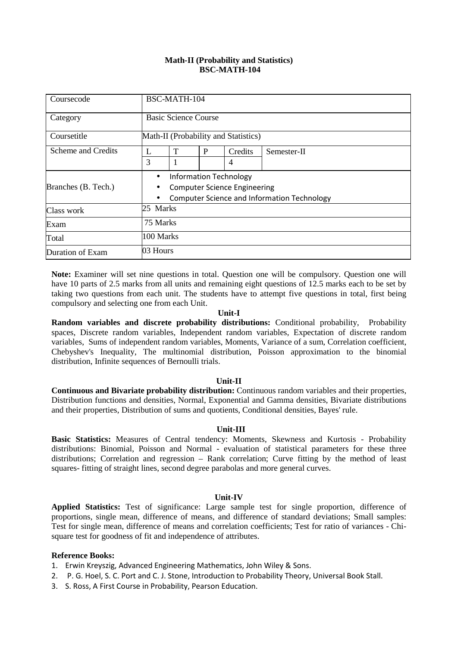#### **Math-II (Probability and Statistics) BSC-MATH-104**

| Coursecode          |           | BSC-MATH-104                                                                                                               |   |              |             |  |  |
|---------------------|-----------|----------------------------------------------------------------------------------------------------------------------------|---|--------------|-------------|--|--|
| Category            |           | <b>Basic Science Course</b>                                                                                                |   |              |             |  |  |
| Coursetitle         |           | Math-II (Probability and Statistics)                                                                                       |   |              |             |  |  |
| Scheme and Credits  | L<br>3    | T                                                                                                                          | P | Credits<br>4 | Semester-II |  |  |
| Branches (B. Tech.) | $\bullet$ | <b>Information Technology</b><br><b>Computer Science Engineering</b><br><b>Computer Science and Information Technology</b> |   |              |             |  |  |
| Class work          |           | 25 Marks                                                                                                                   |   |              |             |  |  |
| Exam                |           | 75 Marks                                                                                                                   |   |              |             |  |  |
| Total               |           | 100 Marks                                                                                                                  |   |              |             |  |  |
| Duration of Exam    |           | 03 Hours                                                                                                                   |   |              |             |  |  |

**Note:** Examiner will set nine questions in total. Question one will be compulsory. Question one will have 10 parts of 2.5 marks from all units and remaining eight questions of 12.5 marks each to be set by taking two questions from each unit. The students have to attempt five questions in total, first being compulsory and selecting one from each Unit.

#### **Unit-I**

**Random variables and discrete probability distributions:** Conditional probability, Probability spaces, Discrete random variables, Independent random variables, Expectation of discrete random variables, Sums of independent random variables, Moments, Variance of a sum, Correlation coefficient, Chebyshev's Inequality, The multinomial distribution, Poisson approximation to the binomial distribution, Infinite sequences of Bernoulli trials.

#### **Unit-II**

**Continuous and Bivariate probability distribution:** Continuous random variables and their properties, Distribution functions and densities, Normal, Exponential and Gamma densities, Bivariate distributions and their properties, Distribution of sums and quotients, Conditional densities, Bayes' rule.

#### **Unit-III**

**Basic Statistics:** Measures of Central tendency: Moments, Skewness and Kurtosis - Probability distributions: Binomial, Poisson and Normal - evaluation of statistical parameters for these three distributions; Correlation and regression – Rank correlation; Curve fitting by the method of least squares- fitting of straight lines, second degree parabolas and more general curves.

#### **Unit-IV**

**Applied Statistics:** Test of significance: Large sample test for single proportion, difference of proportions, single mean, difference of means, and difference of standard deviations; Small samples: Test for single mean, difference of means and correlation coefficients; Test for ratio of variances - Chisquare test for goodness of fit and independence of attributes.

#### **Reference Books:**

- 1. Erwin Kreyszig, Advanced Engineering Mathematics, John Wiley & Sons.
- 2. P. G. Hoel, S. C. Port and C. J. Stone, Introduction to Probability Theory, Universal Book Stall.
- 3. S. Ross, A First Course in Probability, Pearson Education.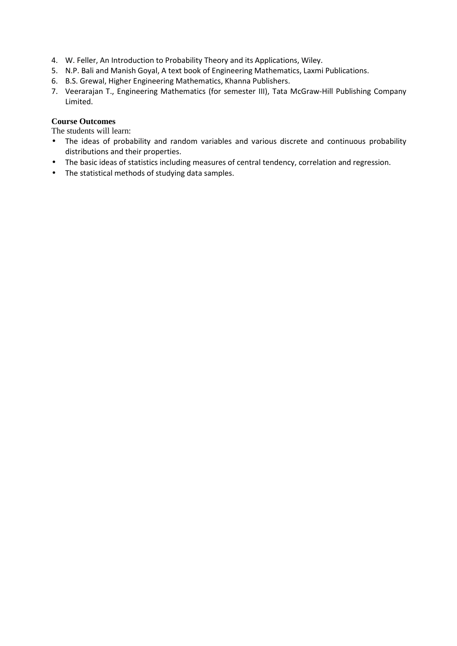- 4. W. Feller, An Introduction to Probability Theory and its Applications, Wiley.
- 5. N.P. Bali and Manish Goyal, A text book of Engineering Mathematics, Laxmi Publications.
- 6. B.S. Grewal, Higher Engineering Mathematics, Khanna Publishers.
- 7. Veerarajan T., Engineering Mathematics (for semester III), Tata McGraw-Hill Publishing Company Limited.

## **Course Outcomes**

The students will learn:

- The ideas of probability and random variables and various discrete and continuous probability distributions and their properties.
- The basic ideas of statistics including measures of central tendency, correlation and regression.
- The statistical methods of studying data samples.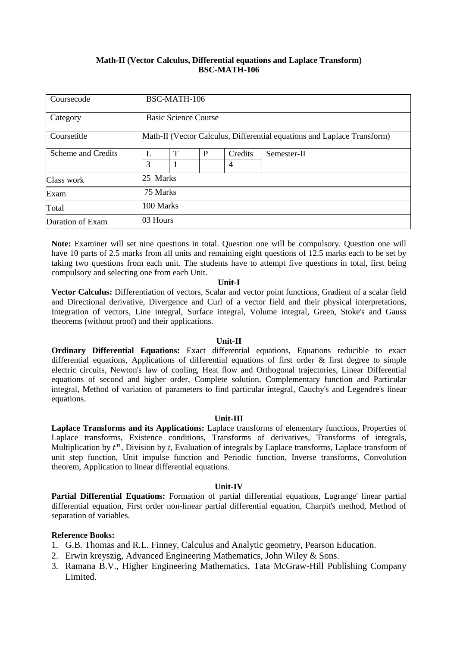#### **Math-II (Vector Calculus, Differential equations and Laplace Transform) BSC-MATH-106**

| Coursecode         |          | BSC-MATH-106                                                            |   |         |             |  |  |  |
|--------------------|----------|-------------------------------------------------------------------------|---|---------|-------------|--|--|--|
| Category           |          | <b>Basic Science Course</b>                                             |   |         |             |  |  |  |
| Coursetitle        |          | Math-II (Vector Calculus, Differential equations and Laplace Transform) |   |         |             |  |  |  |
| Scheme and Credits | L        | T                                                                       | P | Credits | Semester-II |  |  |  |
|                    | 3        |                                                                         |   | 4       |             |  |  |  |
| Class work         |          | 25 Marks                                                                |   |         |             |  |  |  |
| Exam               |          | 75 Marks                                                                |   |         |             |  |  |  |
| Total              |          | 100 Marks                                                               |   |         |             |  |  |  |
| Duration of Exam   | 03 Hours |                                                                         |   |         |             |  |  |  |

**Note:** Examiner will set nine questions in total. Question one will be compulsory. Question one will have 10 parts of 2.5 marks from all units and remaining eight questions of 12.5 marks each to be set by taking two questions from each unit. The students have to attempt five questions in total, first being compulsory and selecting one from each Unit.

#### **Unit-I**

**Vector Calculus:** Differentiation of vectors, Scalar and vector point functions, Gradient of a scalar field and Directional derivative, Divergence and Curl of a vector field and their physical interpretations, Integration of vectors, Line integral, Surface integral, Volume integral, Green, Stoke's and Gauss theorems (without proof) and their applications.

#### **Unit-II**

**Ordinary Differential Equations:** Exact differential equations, Equations reducible to exact differential equations, Applications of differential equations of first order & first degree to simple electric circuits, Newton's law of cooling, Heat flow and Orthogonal trajectories, Linear Differential equations of second and higher order, Complete solution, Complementary function and Particular integral, Method of variation of parameters to find particular integral, Cauchy's and Legendre's linear equations.

#### **Unit-III**

**Laplace Transforms and its Applications:** Laplace transforms of elementary functions, Properties of Laplace transforms, Existence conditions, Transforms of derivatives, Transforms of integrals, Multiplication by  $t^n$ , Division by  $t$ , Evaluation of integrals by Laplace transforms, Laplace transform of unit step function, Unit impulse function and Periodic function, Inverse transforms, Convolution theorem, Application to linear differential equations.

#### **Unit-IV**

**Partial Differential Equations:** Formation of partial differential equations, Lagrange' linear partial differential equation, First order non-linear partial differential equation, Charpit's method, Method of separation of variables.

#### **Reference Books:**

- 1. G.B. Thomas and R.L. Finney, Calculus and Analytic geometry, Pearson Education.
- 2. Erwin kreyszig, Advanced Engineering Mathematics, John Wiley & Sons.
- 3. Ramana B.V., Higher Engineering Mathematics, Tata McGraw-Hill Publishing Company Limited.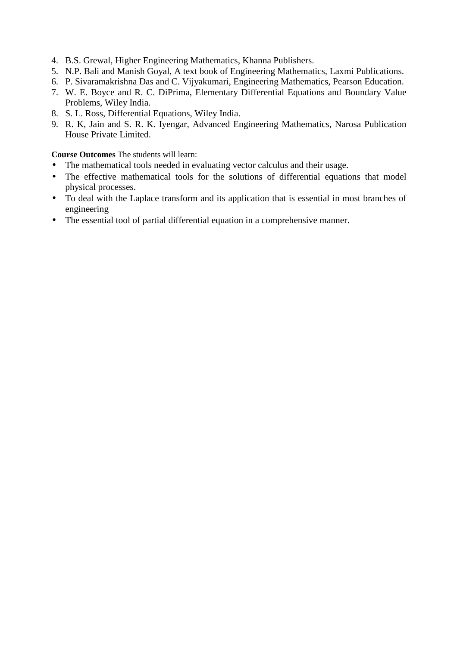- 4. B.S. Grewal, Higher Engineering Mathematics, Khanna Publishers.
- 5. N.P. Bali and Manish Goyal, A text book of Engineering Mathematics, Laxmi Publications.
- 6. P. Sivaramakrishna Das and C. Vijyakumari, Engineering Mathematics, Pearson Education.
- 7. W. E. Boyce and R. C. DiPrima, Elementary Differential Equations and Boundary Value Problems, Wiley India.
- 8. S. L. Ross, Differential Equations, Wiley India.
- 9. R. K, Jain and S. R. K. Iyengar, Advanced Engineering Mathematics, Narosa Publication House Private Limited.

**Course Outcomes** The students will learn:

- The mathematical tools needed in evaluating vector calculus and their usage.
- The effective mathematical tools for the solutions of differential equations that model physical processes.
- To deal with the Laplace transform and its application that is essential in most branches of engineering
- The essential tool of partial differential equation in a comprehensive manner.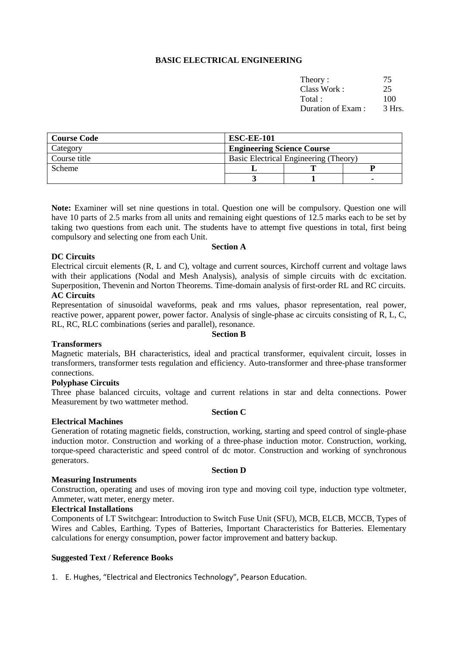# **BASIC ELECTRICAL ENGINEERING**

| Theory:           |        |
|-------------------|--------|
| Class Work:       | 25     |
| Total:            | 100    |
| Duration of Exam: | 3 Hrs. |
|                   |        |

| <b>Course Code</b> | <b>ESC-EE-101</b>                     |  |  |  |
|--------------------|---------------------------------------|--|--|--|
| Category           | <b>Engineering Science Course</b>     |  |  |  |
| Course title       | Basic Electrical Engineering (Theory) |  |  |  |
| <b>Scheme</b>      |                                       |  |  |  |
|                    |                                       |  |  |  |

**Note:** Examiner will set nine questions in total. Question one will be compulsory. Question one will have 10 parts of 2.5 marks from all units and remaining eight questions of 12.5 marks each to be set by taking two questions from each unit. The students have to attempt five questions in total, first being compulsory and selecting one from each Unit.

#### **DC Circuits**

# **Section A**

Electrical circuit elements (R, L and C), voltage and current sources, Kirchoff current and voltage laws with their applications (Nodal and Mesh Analysis), analysis of simple circuits with dc excitation. Superposition, Thevenin and Norton Theorems. Time-domain analysis of first-order RL and RC circuits.

# **AC Circuits**

Representation of sinusoidal waveforms, peak and rms values, phasor representation, real power, reactive power, apparent power, power factor. Analysis of single-phase ac circuits consisting of R, L, C, RL, RC, RLC combinations (series and parallel), resonance.

**Section B** 

#### **Transformers**

Magnetic materials, BH characteristics, ideal and practical transformer, equivalent circuit, losses in transformers, transformer tests regulation and efficiency. Auto-transformer and three-phase transformer connections.

#### **Polyphase Circuits**

Three phase balanced circuits, voltage and current relations in star and delta connections. Power Measurement by two wattmeter method.

#### **Section C**

#### **Electrical Machines**

Generation of rotating magnetic fields, construction, working, starting and speed control of single-phase induction motor. Construction and working of a three-phase induction motor. Construction, working, torque-speed characteristic and speed control of dc motor. Construction and working of synchronous generators.

#### **Section D**

#### **Measuring Instruments**

Construction, operating and uses of moving iron type and moving coil type, induction type voltmeter, Ammeter, watt meter, energy meter.

## **Electrical Installations**

Components of LT Switchgear: Introduction to Switch Fuse Unit (SFU), MCB, ELCB, MCCB, Types of Wires and Cables, Earthing. Types of Batteries, Important Characteristics for Batteries. Elementary calculations for energy consumption, power factor improvement and battery backup.

#### **Suggested Text / Reference Books**

1. E. Hughes, "Electrical and Electronics Technology", Pearson Education.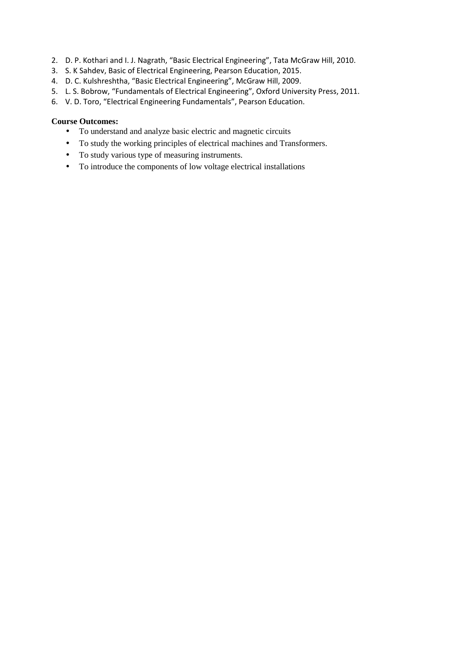- 2. D. P. Kothari and I. J. Nagrath, "Basic Electrical Engineering", Tata McGraw Hill, 2010.
- 3. S. K Sahdev, Basic of Electrical Engineering, Pearson Education, 2015.
- 4. D. C. Kulshreshtha, "Basic Electrical Engineering", McGraw Hill, 2009.
- 5. L. S. Bobrow, "Fundamentals of Electrical Engineering", Oxford University Press, 2011.
- 6. V. D. Toro, "Electrical Engineering Fundamentals", Pearson Education.

#### **Course Outcomes:**

- To understand and analyze basic electric and magnetic circuits
- To study the working principles of electrical machines and Transformers.
- To study various type of measuring instruments.
- To introduce the components of low voltage electrical installations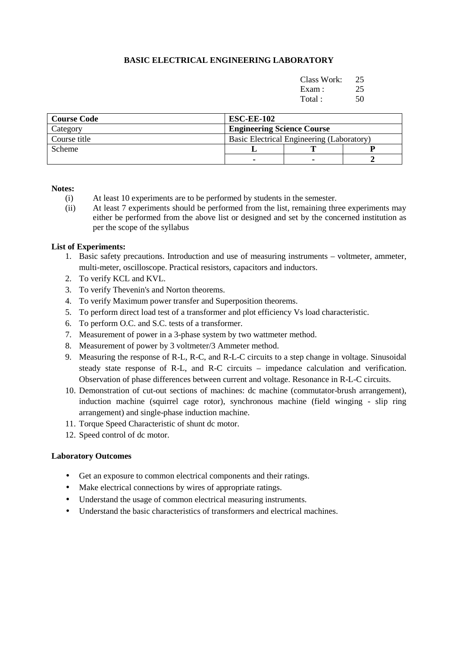# **BASIC ELECTRICAL ENGINEERING LABORATORY**

| Class Work: 25 |      |
|----------------|------|
| Exam: 25       |      |
| Total:         | - 50 |

| <b>Course Code</b> | <b>ESC-EE-102</b>                         |  |  |  |  |
|--------------------|-------------------------------------------|--|--|--|--|
| Category           | <b>Engineering Science Course</b>         |  |  |  |  |
| Course title       | Basic Electrical Engineering (Laboratory) |  |  |  |  |
| <b>Scheme</b>      |                                           |  |  |  |  |
|                    | ۰                                         |  |  |  |  |

#### **Notes:**

- (i) At least 10 experiments are to be performed by students in the semester.
- (ii) At least 7 experiments should be performed from the list, remaining three experiments may either be performed from the above list or designed and set by the concerned institution as per the scope of the syllabus

#### **List of Experiments:**

- 1. Basic safety precautions. Introduction and use of measuring instruments voltmeter, ammeter, multi-meter, oscilloscope. Practical resistors, capacitors and inductors.
- 2. To verify KCL and KVL.
- 3. To verify Thevenin's and Norton theorems.
- 4. To verify Maximum power transfer and Superposition theorems.
- 5. To perform direct load test of a transformer and plot efficiency Vs load characteristic.
- 6. To perform O.C. and S.C. tests of a transformer.
- 7. Measurement of power in a 3-phase system by two wattmeter method.
- 8. Measurement of power by 3 voltmeter/3 Ammeter method.
- 9. Measuring the response of R-L, R-C, and R-L-C circuits to a step change in voltage. Sinusoidal steady state response of R-L, and R-C circuits – impedance calculation and verification. Observation of phase differences between current and voltage. Resonance in R-L-C circuits.
- 10. Demonstration of cut-out sections of machines: dc machine (commutator-brush arrangement), induction machine (squirrel cage rotor), synchronous machine (field winging - slip ring arrangement) and single-phase induction machine.
- 11. Torque Speed Characteristic of shunt dc motor.
- 12. Speed control of dc motor.

#### **Laboratory Outcomes**

- Get an exposure to common electrical components and their ratings.
- Make electrical connections by wires of appropriate ratings.
- Understand the usage of common electrical measuring instruments.
- Understand the basic characteristics of transformers and electrical machines.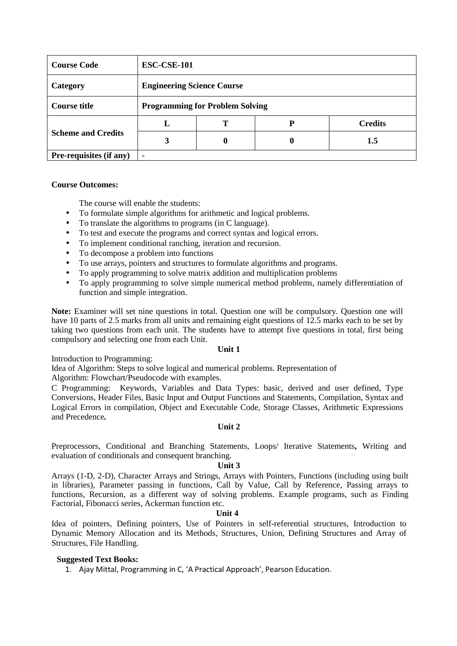| <b>Course Code</b>        | <b>ESC-CSE-101</b>                     |   |   |                |  |  |
|---------------------------|----------------------------------------|---|---|----------------|--|--|
| Category                  | <b>Engineering Science Course</b>      |   |   |                |  |  |
| <b>Course title</b>       | <b>Programming for Problem Solving</b> |   |   |                |  |  |
|                           | L                                      | Т | D | <b>Credits</b> |  |  |
| <b>Scheme and Credits</b> | 3                                      | 0 | O | 1.5            |  |  |
| Pre-requisites (if any)   | ۰                                      |   |   |                |  |  |

#### **Course Outcomes:**

The course will enable the students:

- To formulate simple algorithms for arithmetic and logical problems.
- To translate the algorithms to programs (in C language).
- To test and execute the programs and correct syntax and logical errors.
- To implement conditional ranching, iteration and recursion.
- To decompose a problem into functions
- To use arrays, pointers and structures to formulate algorithms and programs.
- To apply programming to solve matrix addition and multiplication problems
- To apply programming to solve simple numerical method problems, namely differentiation of function and simple integration.

**Note:** Examiner will set nine questions in total. Question one will be compulsory. Question one will have 10 parts of 2.5 marks from all units and remaining eight questions of 12.5 marks each to be set by taking two questions from each unit. The students have to attempt five questions in total, first being compulsory and selecting one from each Unit.

#### **Unit 1**

Introduction to Programming:

Idea of Algorithm: Steps to solve logical and numerical problems. Representation of

Algorithm: Flowchart/Pseudocode with examples.

C Programming: Keywords, Variables and Data Types: basic, derived and user defined, Type Conversions, Header Files, Basic Input and Output Functions and Statements, Compilation, Syntax and Logical Errors in compilation, Object and Executable Code, Storage Classes, Arithmetic Expressions and Precedence*.* 

#### **Unit 2**

Preprocessors, Conditional and Branching Statements, Loops/ Iterative Statements**,** Writing and evaluation of conditionals and consequent branching.

#### **Unit 3**

Arrays (1-D, 2-D), Character Arrays and Strings, Arrays with Pointers, Functions (including using built in libraries), Parameter passing in functions, Call by Value, Call by Reference, Passing arrays to functions, Recursion, as a different way of solving problems. Example programs, such as Finding Factorial, Fibonacci series, Ackerman function etc.

#### **Unit 4**

Idea of pointers, Defining pointers, Use of Pointers in self-referential structures, Introduction to Dynamic Memory Allocation and its Methods, Structures, Union, Defining Structures and Array of Structures, File Handling.

#### **Suggested Text Books:**

1. Ajay Mittal, Programming in C, 'A Practical Approach', Pearson Education.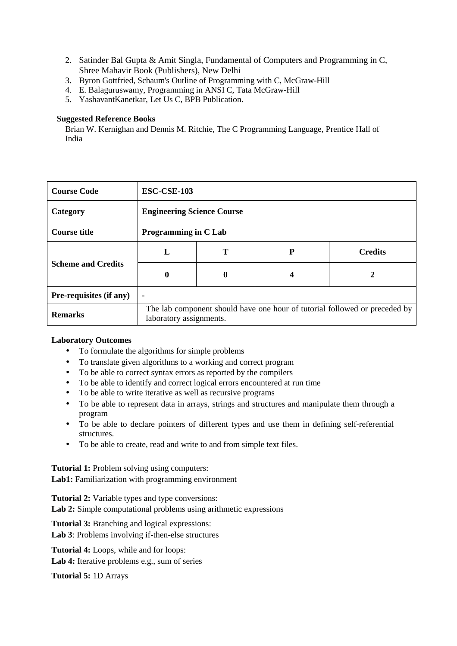- 2. Satinder Bal Gupta & Amit Singla, Fundamental of Computers and Programming in C, Shree Mahavir Book (Publishers), New Delhi
- 3. Byron Gottfried, Schaum's Outline of Programming with C, McGraw-Hill
- 4. E. Balaguruswamy, Programming in ANSI C, Tata McGraw-Hill
- 5. YashavantKanetkar, Let Us C, BPB Publication.

# **Suggested Reference Books**

Brian W. Kernighan and Dennis M. Ritchie, The C Programming Language, Prentice Hall of India

| <b>Course Code</b>             | <b>ESC-CSE-103</b>                |                                                                                                       |   |                |  |  |
|--------------------------------|-----------------------------------|-------------------------------------------------------------------------------------------------------|---|----------------|--|--|
| Category                       | <b>Engineering Science Course</b> |                                                                                                       |   |                |  |  |
| <b>Course title</b>            | <b>Programming in C Lab</b>       |                                                                                                       |   |                |  |  |
|                                | L                                 | Т                                                                                                     | P | <b>Credits</b> |  |  |
| <b>Scheme and Credits</b>      | 0                                 | 0                                                                                                     | 4 | 2              |  |  |
| <b>Pre-requisites (if any)</b> | $\blacksquare$                    |                                                                                                       |   |                |  |  |
| <b>Remarks</b>                 |                                   | The lab component should have one hour of tutorial followed or preceded by<br>laboratory assignments. |   |                |  |  |

#### **Laboratory Outcomes**

- To formulate the algorithms for simple problems
- To translate given algorithms to a working and correct program
- To be able to correct syntax errors as reported by the compilers
- To be able to identify and correct logical errors encountered at run time
- To be able to write iterative as well as recursive programs
- To be able to represent data in arrays, strings and structures and manipulate them through a program
- To be able to declare pointers of different types and use them in defining self-referential structures.
- To be able to create, read and write to and from simple text files.

**Tutorial 1:** Problem solving using computers: Lab1: Familiarization with programming environment

**Tutorial 2:** Variable types and type conversions:

Lab 2: Simple computational problems using arithmetic expressions

**Tutorial 3:** Branching and logical expressions:

**Lab 3**: Problems involving if-then-else structures

**Tutorial 4:** Loops, while and for loops:

Lab 4: Iterative problems e.g., sum of series

**Tutorial 5:** 1D Arrays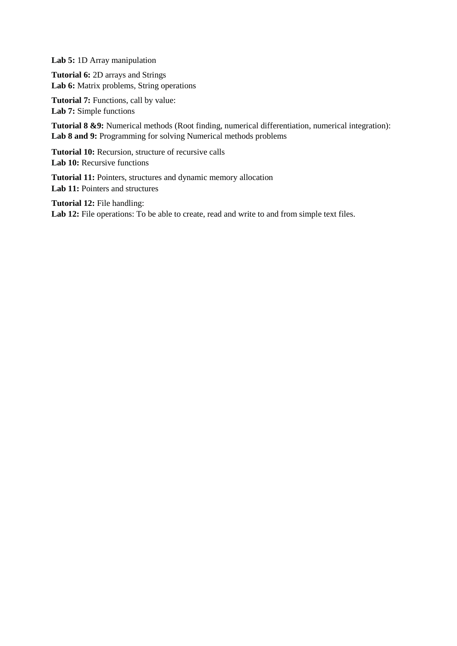**Lab 5:** 1D Array manipulation

**Tutorial 6:** 2D arrays and Strings Lab 6: Matrix problems, String operations

**Tutorial 7:** Functions, call by value: Lab 7: Simple functions

**Tutorial 8 &9:** Numerical methods (Root finding, numerical differentiation, numerical integration): Lab 8 and 9: Programming for solving Numerical methods problems

**Tutorial 10:** Recursion, structure of recursive calls Lab 10: Recursive functions

**Tutorial 11:** Pointers, structures and dynamic memory allocation Lab 11: Pointers and structures

**Tutorial 12:** File handling: Lab 12: File operations: To be able to create, read and write to and from simple text files.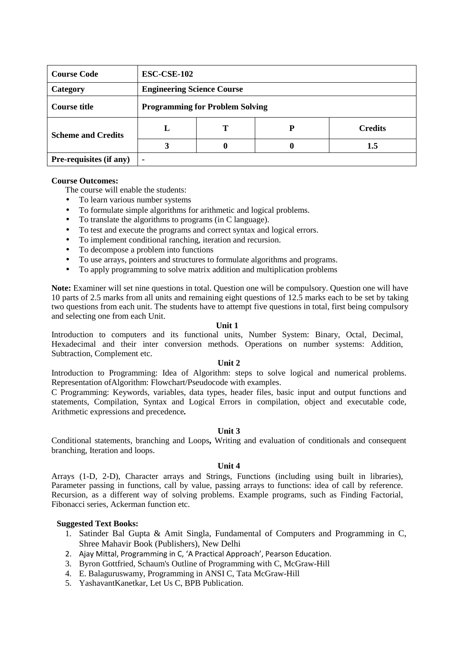| <b>Course Code</b>        | ESC-CSE-102                            |   |   |                |  |  |
|---------------------------|----------------------------------------|---|---|----------------|--|--|
| Category                  | <b>Engineering Science Course</b>      |   |   |                |  |  |
| <b>Course title</b>       | <b>Programming for Problem Solving</b> |   |   |                |  |  |
| <b>Scheme and Credits</b> | L                                      |   | P | <b>Credits</b> |  |  |
|                           | 3                                      | 0 |   | 1.5            |  |  |
| Pre-requisites (if any)   |                                        |   |   |                |  |  |

#### **Course Outcomes:**

The course will enable the students:

- To learn various number systems
- To formulate simple algorithms for arithmetic and logical problems.
- To translate the algorithms to programs (in C language).
- To test and execute the programs and correct syntax and logical errors.
- To implement conditional ranching, iteration and recursion.
- To decompose a problem into functions
- To use arrays, pointers and structures to formulate algorithms and programs.
- To apply programming to solve matrix addition and multiplication problems

**Note:** Examiner will set nine questions in total. Question one will be compulsory. Question one will have 10 parts of 2.5 marks from all units and remaining eight questions of 12.5 marks each to be set by taking two questions from each unit. The students have to attempt five questions in total, first being compulsory and selecting one from each Unit.

#### **Unit 1**

Introduction to computers and its functional units, Number System: Binary, Octal, Decimal, Hexadecimal and their inter conversion methods. Operations on number systems: Addition, Subtraction, Complement etc.

#### **Unit 2**

Introduction to Programming: Idea of Algorithm: steps to solve logical and numerical problems. Representation ofAlgorithm: Flowchart/Pseudocode with examples.

C Programming: Keywords, variables, data types, header files, basic input and output functions and statements, Compilation, Syntax and Logical Errors in compilation, object and executable code, Arithmetic expressions and precedence*.* 

#### **Unit 3**

Conditional statements, branching and Loops**,** Writing and evaluation of conditionals and consequent branching, Iteration and loops.

#### **Unit 4**

Arrays (1-D, 2-D), Character arrays and Strings, Functions (including using built in libraries), Parameter passing in functions, call by value, passing arrays to functions: idea of call by reference. Recursion, as a different way of solving problems. Example programs, such as Finding Factorial, Fibonacci series, Ackerman function etc.

#### **Suggested Text Books:**

- 1. Satinder Bal Gupta & Amit Singla, Fundamental of Computers and Programming in C, Shree Mahavir Book (Publishers), New Delhi
- 2. Ajay Mittal, Programming in C, 'A Practical Approach', Pearson Education.
- 3. Byron Gottfried, Schaum's Outline of Programming with C, McGraw-Hill
- 4. E. Balaguruswamy, Programming in ANSI C, Tata McGraw-Hill
- 5. YashavantKanetkar, Let Us C, BPB Publication.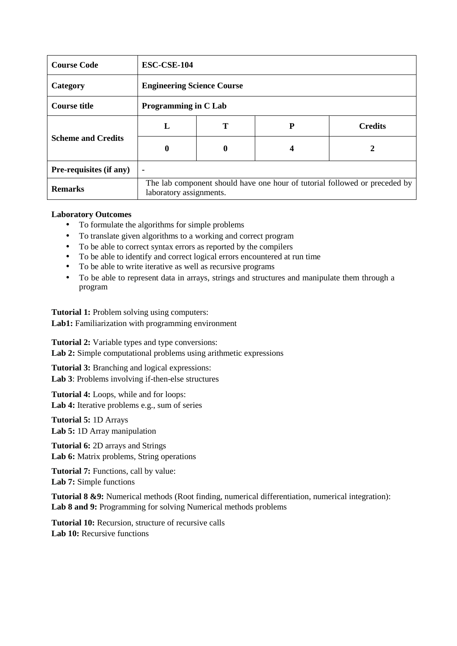| <b>Course Code</b>             | ESC-CSE-104                                                                                           |              |   |                |  |  |
|--------------------------------|-------------------------------------------------------------------------------------------------------|--------------|---|----------------|--|--|
| Category                       | <b>Engineering Science Course</b>                                                                     |              |   |                |  |  |
| <b>Course title</b>            | <b>Programming in C Lab</b>                                                                           |              |   |                |  |  |
|                                | L                                                                                                     | Т            | P | <b>Credits</b> |  |  |
| <b>Scheme and Credits</b>      | 0                                                                                                     | $\mathbf{0}$ | 4 | 2              |  |  |
| <b>Pre-requisites (if any)</b> | $\blacksquare$                                                                                        |              |   |                |  |  |
| <b>Remarks</b>                 | The lab component should have one hour of tutorial followed or preceded by<br>laboratory assignments. |              |   |                |  |  |

#### **Laboratory Outcomes**

- To formulate the algorithms for simple problems
- To translate given algorithms to a working and correct program
- To be able to correct syntax errors as reported by the compilers
- To be able to identify and correct logical errors encountered at run time
- To be able to write iterative as well as recursive programs
- To be able to represent data in arrays, strings and structures and manipulate them through a program

**Tutorial 1:** Problem solving using computers: Lab1: Familiarization with programming environment

**Tutorial 2:** Variable types and type conversions: Lab 2: Simple computational problems using arithmetic expressions

**Tutorial 3:** Branching and logical expressions: **Lab 3**: Problems involving if-then-else structures

**Tutorial 4:** Loops, while and for loops: Lab 4: Iterative problems e.g., sum of series

**Tutorial 5:** 1D Arrays **Lab 5:** 1D Array manipulation

**Tutorial 6:** 2D arrays and Strings Lab 6: Matrix problems, String operations

Tutorial 7: Functions, call by value: **Lab 7:** Simple functions

**Tutorial 8 &9:** Numerical methods (Root finding, numerical differentiation, numerical integration): Lab 8 and 9: Programming for solving Numerical methods problems

**Tutorial 10:** Recursion, structure of recursive calls Lab 10: Recursive functions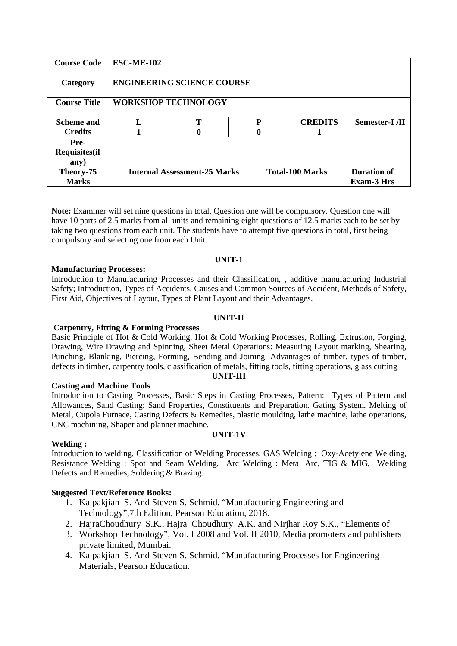| <b>Course Code</b>                   | <b>ESC-ME-102</b>                                             |   |   |                                  |               |  |
|--------------------------------------|---------------------------------------------------------------|---|---|----------------------------------|---------------|--|
| Category                             | <b>ENGINEERING SCIENCE COURSE</b>                             |   |   |                                  |               |  |
| <b>Course Title</b>                  | <b>WORKSHOP TECHNOLOGY</b>                                    |   |   |                                  |               |  |
| <b>Scheme and</b>                    |                                                               | т | P | <b>CREDITS</b>                   | Semester-I/II |  |
| <b>Credits</b>                       |                                                               | 0 |   |                                  |               |  |
| Pre-<br><b>Requisites(if</b><br>any) |                                                               |   |   |                                  |               |  |
| Theory-75<br><b>Marks</b>            | <b>Internal Assessment-25 Marks</b><br><b>Total-100 Marks</b> |   |   | Duration of<br><b>Exam-3 Hrs</b> |               |  |

**Note:** Examiner will set nine questions in total. Question one will be compulsory. Question one will have 10 parts of 2.5 marks from all units and remaining eight questions of 12.5 marks each to be set by taking two questions from each unit. The students have to attempt five questions in total, first being compulsory and selecting one from each Unit.

#### **UNIT-1**

#### **Manufacturing Processes:**

Introduction to Manufacturing Processes and their Classification, , additive manufacturing Industrial Safety; Introduction, Types of Accidents, Causes and Common Sources of Accident, Methods of Safety, First Aid, Objectives of Layout, Types of Plant Layout and their Advantages.

#### **UNIT-II**

#### **Carpentry, Fitting & Forming Processes**

Basic Principle of Hot & Cold Working, Hot & Cold Working Processes, Rolling, Extrusion, Forging, Drawing, Wire Drawing and Spinning, Sheet Metal Operations: Measuring Layout marking, Shearing, Punching, Blanking, Piercing, Forming, Bending and Joining. Advantages of timber, types of timber, defects in timber, carpentry tools, classification of metals, fitting tools, fitting operations, glass cutting

**UNIT-III** 

#### **Casting and Machine Tools**

Introduction to Casting Processes, Basic Steps in Casting Processes, Pattern: Types of Pattern and Allowances, Sand Casting: Sand Properties, Constituents and Preparation. Gating System. Melting of Metal, Cupola Furnace, Casting Defects & Remedies, plastic moulding, lathe machine, lathe operations, CNC machining, Shaper and planner machine.

#### **UNIT-1V**

#### **Welding :**

Introduction to welding, Classification of Welding Processes, GAS Welding : Oxy-Acetylene Welding, Resistance Welding : Spot and Seam Welding, Arc Welding : Metal Arc, TIG & MIG, Welding Defects and Remedies, Soldering & Brazing.

#### **Suggested Text/Reference Books:**

- 1. Kalpakjian S. And Steven S. Schmid, "Manufacturing Engineering and Technology",7th Edition, Pearson Education, 2018.
- 2. HajraChoudhury S.K., Hajra Choudhury A.K. and Nirjhar Roy S.K., "Elements of
- 3. Workshop Technology", Vol. I 2008 and Vol. II 2010, Media promoters and publishers private limited, Mumbai.
- 4. Kalpakjian S. And Steven S. Schmid, "Manufacturing Processes for Engineering Materials, Pearson Education.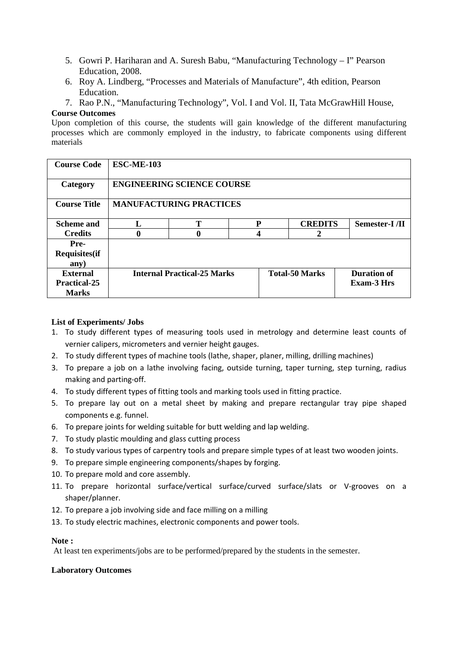- 5. Gowri P. Hariharan and A. Suresh Babu, "Manufacturing Technology I" Pearson Education, 2008.
- 6. Roy A. Lindberg, "Processes and Materials of Manufacture", 4th edition, Pearson Education.
- 7. Rao P.N., "Manufacturing Technology", Vol. I and Vol. II, Tata McGrawHill House,

#### **Course Outcomes**

Upon completion of this course, the students will gain knowledge of the different manufacturing processes which are commonly employed in the industry, to fabricate components using different materials

| <b>Course Code</b>                                     | <b>ESC-ME-103</b>                  |   |   |                       |                                         |  |  |
|--------------------------------------------------------|------------------------------------|---|---|-----------------------|-----------------------------------------|--|--|
| Category                                               | <b>ENGINEERING SCIENCE COURSE</b>  |   |   |                       |                                         |  |  |
| <b>Course Title</b>                                    | <b>MANUFACTURING PRACTICES</b>     |   |   |                       |                                         |  |  |
| <b>Scheme and</b>                                      |                                    | T | P | <b>CREDITS</b>        | <b>Semester-I</b> /II                   |  |  |
| <b>Credits</b>                                         | $\bf{0}$                           | 0 |   | 2                     |                                         |  |  |
| <b>Pre-</b><br><b>Requisites(if</b><br>any)            |                                    |   |   |                       |                                         |  |  |
| <b>External</b><br><b>Practical-25</b><br><b>Marks</b> | <b>Internal Practical-25 Marks</b> |   |   | <b>Total-50 Marks</b> | <b>Duration of</b><br><b>Exam-3 Hrs</b> |  |  |

## **List of Experiments/ Jobs**

- 1. To study different types of measuring tools used in metrology and determine least counts of vernier calipers, micrometers and vernier height gauges.
- 2. To study different types of machine tools (lathe, shaper, planer, milling, drilling machines)
- 3. To prepare a job on a lathe involving facing, outside turning, taper turning, step turning, radius making and parting-off.
- 4. To study different types of fitting tools and marking tools used in fitting practice.
- 5. To prepare lay out on a metal sheet by making and prepare rectangular tray pipe shaped components e.g. funnel.
- 6. To prepare joints for welding suitable for butt welding and lap welding.
- 7. To study plastic moulding and glass cutting process
- 8. To study various types of carpentry tools and prepare simple types of at least two wooden joints.
- 9. To prepare simple engineering components/shapes by forging.
- 10. To prepare mold and core assembly.
- 11. To prepare horizontal surface/vertical surface/curved surface/slats or V-grooves on a shaper/planner.
- 12. To prepare a job involving side and face milling on a milling
- 13. To study electric machines, electronic components and power tools.

# **Note :**

At least ten experiments/jobs are to be performed/prepared by the students in the semester.

#### **Laboratory Outcomes**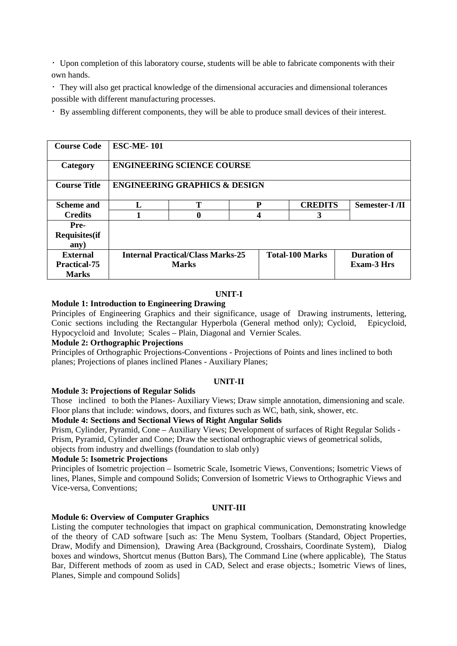Upon completion of this laboratory course, students will be able to fabricate components with their own hands.

They will also get practical knowledge of the dimensional accuracies and dimensional tolerances possible with different manufacturing processes.

By assembling different components, they will be able to produce small devices of their interest.

| <b>Course Code</b>                    | <b>ESC-ME-101</b>                        |                                          |   |                        |  |                       |
|---------------------------------------|------------------------------------------|------------------------------------------|---|------------------------|--|-----------------------|
| Category                              | <b>ENGINEERING SCIENCE COURSE</b>        |                                          |   |                        |  |                       |
| <b>Course Title</b>                   |                                          | <b>ENGINEERING GRAPHICS &amp; DESIGN</b> |   |                        |  |                       |
| <b>Scheme and</b>                     | L                                        | т                                        | P | <b>CREDITS</b>         |  | <b>Semester-I</b> /II |
| <b>Credits</b>                        |                                          | 0                                        |   | 3                      |  |                       |
| Pre-<br><b>Requisites</b> (if<br>any) |                                          |                                          |   |                        |  |                       |
| <b>External</b>                       | <b>Internal Practical/Class Marks-25</b> |                                          |   | <b>Total-100 Marks</b> |  | <b>Duration of</b>    |
| <b>Practical-75</b><br><b>Marks</b>   |                                          | <b>Marks</b>                             |   |                        |  | <b>Exam-3 Hrs</b>     |

#### **UNIT-I**

#### **Module 1: Introduction to Engineering Drawing**

Principles of Engineering Graphics and their significance, usage of Drawing instruments, lettering, Conic sections including the Rectangular Hyperbola (General method only); Cycloid, Epicycloid, Hypocycloid and Involute; Scales – Plain, Diagonal and Vernier Scales.

#### **Module 2: Orthographic Projections**

Principles of Orthographic Projections-Conventions - Projections of Points and lines inclined to both planes; Projections of planes inclined Planes - Auxiliary Planes;

#### **UNIT-II**

#### **Module 3: Projections of Regular Solids**

Those inclined to both the Planes- Auxiliary Views; Draw simple annotation, dimensioning and scale. Floor plans that include: windows, doors, and fixtures such as WC, bath, sink, shower, etc.

#### **Module 4: Sections and Sectional Views of Right Angular Solids**

Prism, Cylinder, Pyramid, Cone – Auxiliary Views; Development of surfaces of Right Regular Solids - Prism, Pyramid, Cylinder and Cone; Draw the sectional orthographic views of geometrical solids, objects from industry and dwellings (foundation to slab only)

#### **Module 5: Isometric Projections**

Principles of Isometric projection – Isometric Scale, Isometric Views, Conventions; Isometric Views of lines, Planes, Simple and compound Solids; Conversion of Isometric Views to Orthographic Views and Vice-versa, Conventions;

#### **UNIT-III**

#### **Module 6: Overview of Computer Graphics**

Listing the computer technologies that impact on graphical communication, Demonstrating knowledge of the theory of CAD software [such as: The Menu System, Toolbars (Standard, Object Properties, Draw, Modify and Dimension), Drawing Area (Background, Crosshairs, Coordinate System), Dialog boxes and windows, Shortcut menus (Button Bars), The Command Line (where applicable), The Status Bar, Different methods of zoom as used in CAD, Select and erase objects.; Isometric Views of lines, Planes, Simple and compound Solids]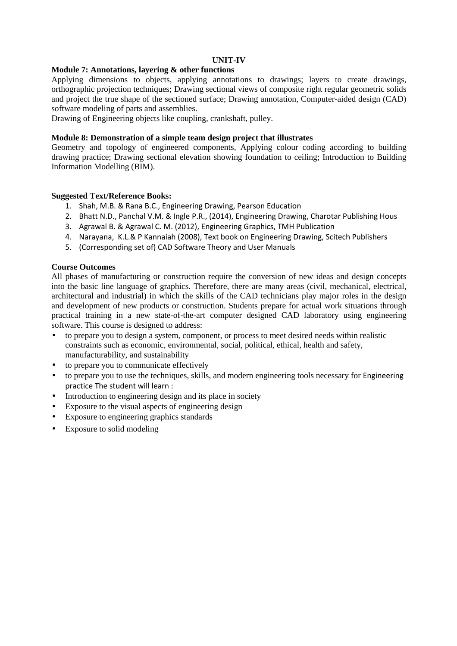#### **UNIT-IV**

#### **Module 7: Annotations, layering & other functions**

Applying dimensions to objects, applying annotations to drawings; layers to create drawings, orthographic projection techniques; Drawing sectional views of composite right regular geometric solids and project the true shape of the sectioned surface; Drawing annotation, Computer-aided design (CAD) software modeling of parts and assemblies.

Drawing of Engineering objects like coupling, crankshaft, pulley.

#### **Module 8: Demonstration of a simple team design project that illustrates**

Geometry and topology of engineered components, Applying colour coding according to building drawing practice; Drawing sectional elevation showing foundation to ceiling; Introduction to Building Information Modelling (BIM).

#### **Suggested Text/Reference Books:**

- 1. Shah, M.B. & Rana B.C., Engineering Drawing, Pearson Education
- 2. Bhatt N.D., Panchal V.M. & Ingle P.R., (2014), Engineering Drawing, Charotar Publishing Hous
- 3. Agrawal B. & Agrawal C. M. (2012), Engineering Graphics, TMH Publication
- 4. Narayana, K.L.& P Kannaiah (2008), Text book on Engineering Drawing, Scitech Publishers
- 5. (Corresponding set of) CAD Software Theory and User Manuals

#### **Course Outcomes**

All phases of manufacturing or construction require the conversion of new ideas and design concepts into the basic line language of graphics. Therefore, there are many areas (civil, mechanical, electrical, architectural and industrial) in which the skills of the CAD technicians play major roles in the design and development of new products or construction. Students prepare for actual work situations through practical training in a new state-of-the-art computer designed CAD laboratory using engineering software. This course is designed to address:

- to prepare you to design a system, component, or process to meet desired needs within realistic constraints such as economic, environmental, social, political, ethical, health and safety, manufacturability, and sustainability
- to prepare you to communicate effectively
- to prepare you to use the techniques, skills, and modern engineering tools necessary for Engineering practice The student will learn :
- Introduction to engineering design and its place in society
- Exposure to the visual aspects of engineering design
- Exposure to engineering graphics standards
- Exposure to solid modeling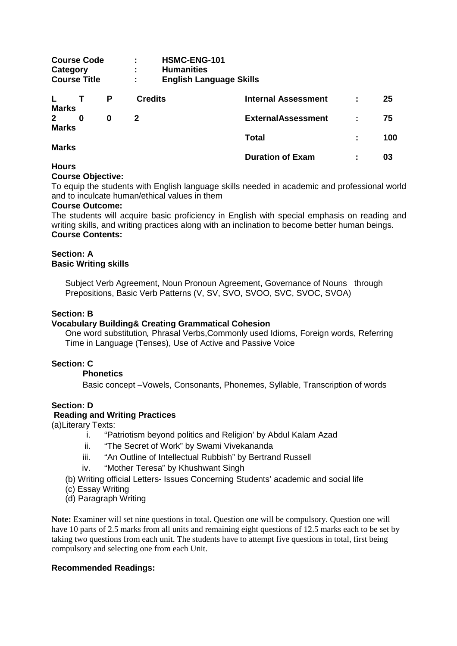| Category                     | <b>Course Code</b><br><b>Course Title</b> |   | <b>HSMC-ENG-101</b><br>÷<br><b>Humanities</b><br>÷<br><b>English Language Skills</b><br>÷ |                            |   |     |
|------------------------------|-------------------------------------------|---|-------------------------------------------------------------------------------------------|----------------------------|---|-----|
| <b>Marks</b>                 |                                           | P | <b>Credits</b>                                                                            | <b>Internal Assessment</b> |   | 25  |
| $\mathbf{2}$<br><b>Marks</b> | 0                                         | 0 | 2                                                                                         | <b>ExternalAssessment</b>  | ÷ | 75  |
|                              |                                           |   |                                                                                           | <b>Total</b>               | ÷ | 100 |
| <b>Marks</b>                 |                                           |   |                                                                                           | <b>Duration of Exam</b>    | ÷ | 03  |
| <b>Hours</b>                 |                                           |   |                                                                                           |                            |   |     |

# **Course Objective:**

To equip the students with English language skills needed in academic and professional world and to inculcate human/ethical values in them

#### **Course Outcome:**

The students will acquire basic proficiency in English with special emphasis on reading and writing skills, and writing practices along with an inclination to become better human beings. **Course Contents:** 

## **Section: A Basic Writing skills**

Subject Verb Agreement, Noun Pronoun Agreement, Governance of Nouns through Prepositions, Basic Verb Patterns (V, SV, SVO, SVOO, SVC, SVOC, SVOA)

#### **Section: B**

#### **Vocabulary Building& Creating Grammatical Cohesion**

One word substitution, Phrasal Verbs,Commonly used Idioms, Foreign words, Referring Time in Language (Tenses), Use of Active and Passive Voice

# **Section: C**

#### **Phonetics**

Basic concept –Vowels, Consonants, Phonemes, Syllable, Transcription of words

# **Section: D**

#### **Reading and Writing Practices**

(a)Literary Texts:

- i. "Patriotism beyond politics and Religion' by Abdul Kalam Azad
- ii. "The Secret of Work" by Swami Vivekananda
- iii. "An Outline of Intellectual Rubbish" by Bertrand Russell
- iv. "Mother Teresa" by Khushwant Singh
- (b) Writing official Letters- Issues Concerning Students' academic and social life
- (c) Essay Writing
- (d) Paragraph Writing

**Note:** Examiner will set nine questions in total. Question one will be compulsory. Question one will have 10 parts of 2.5 marks from all units and remaining eight questions of 12.5 marks each to be set by taking two questions from each unit. The students have to attempt five questions in total, first being compulsory and selecting one from each Unit.

#### **Recommended Readings:**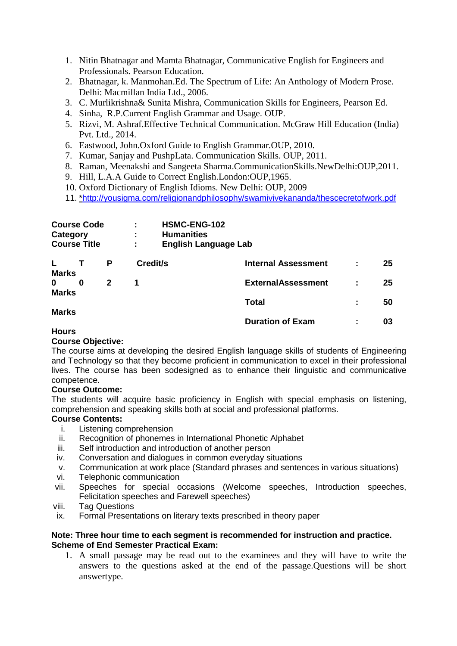- 1. Nitin Bhatnagar and Mamta Bhatnagar, Communicative English for Engineers and Professionals. Pearson Education.
- 2. Bhatnagar, k. Manmohan.Ed. The Spectrum of Life: An Anthology of Modern Prose. Delhi: Macmillan India Ltd., 2006.
- 3. C. Murlikrishna& Sunita Mishra, Communication Skills for Engineers, Pearson Ed.
- 4. Sinha, R.P.Current English Grammar and Usage. OUP.
- 5. Rizvi, M. Ashraf.Effective Technical Communication. McGraw Hill Education (India) Pvt. Ltd., 2014.
- 6. Eastwood, John.Oxford Guide to English Grammar.OUP, 2010.
- 7. Kumar, Sanjay and PushpLata. Communication Skills. OUP, 2011.
- 8. Raman, Meenakshi and Sangeeta Sharma.CommunicationSkills.NewDelhi:OUP,2011.
- 9. Hill, L.A.A Guide to Correct English.London:OUP,1965.
- 10. Oxford Dictionary of English Idioms. New Delhi: OUP, 2009
- 11. \*http://yousigma.com/religionandphilosophy/swamivivekananda/thescecretofwork.pdf

| Category                     | <b>Course Code</b><br><b>Course Title</b> |   | ٠<br>÷<br>÷ | HSMC-ENG-102<br><b>Humanities</b><br><b>English Language Lab</b> |   |    |
|------------------------------|-------------------------------------------|---|-------------|------------------------------------------------------------------|---|----|
| L.<br><b>Marks</b>           |                                           | P | Credit/s    | <b>Internal Assessment</b>                                       |   | 25 |
| $\bf{0}$                     | 0                                         | 2 | 1           | <b>ExternalAssessment</b>                                        | ÷ | 25 |
| <b>Marks</b><br><b>Marks</b> |                                           |   |             | <b>Total</b>                                                     | ÷ | 50 |
|                              |                                           |   |             | <b>Duration of Exam</b>                                          | ÷ | 03 |

**Hours**

# **Course Objective:**

The course aims at developing the desired English language skills of students of Engineering and Technology so that they become proficient in communication to excel in their professional lives. The course has been sodesigned as to enhance their linguistic and communicative competence.

# **Course Outcome:**

The students will acquire basic proficiency in English with special emphasis on listening, comprehension and speaking skills both at social and professional platforms.

# **Course Contents:**

- i. Listening comprehension
- ii. Recognition of phonemes in International Phonetic Alphabet
- iii. Self introduction and introduction of another person
- iv. Conversation and dialogues in common everyday situations
- v. Communication at work place (Standard phrases and sentences in various situations)
- vi. Telephonic communication
- vii. Speeches for special occasions (Welcome speeches, Introduction speeches, Felicitation speeches and Farewell speeches)
- viii. Tag Questions
- ix. Formal Presentations on literary texts prescribed in theory paper

# **Note: Three hour time to each segment is recommended for instruction and practice. Scheme of End Semester Practical Exam:**

1. A small passage may be read out to the examinees and they will have to write the answers to the questions asked at the end of the passage.Questions will be short answertype.